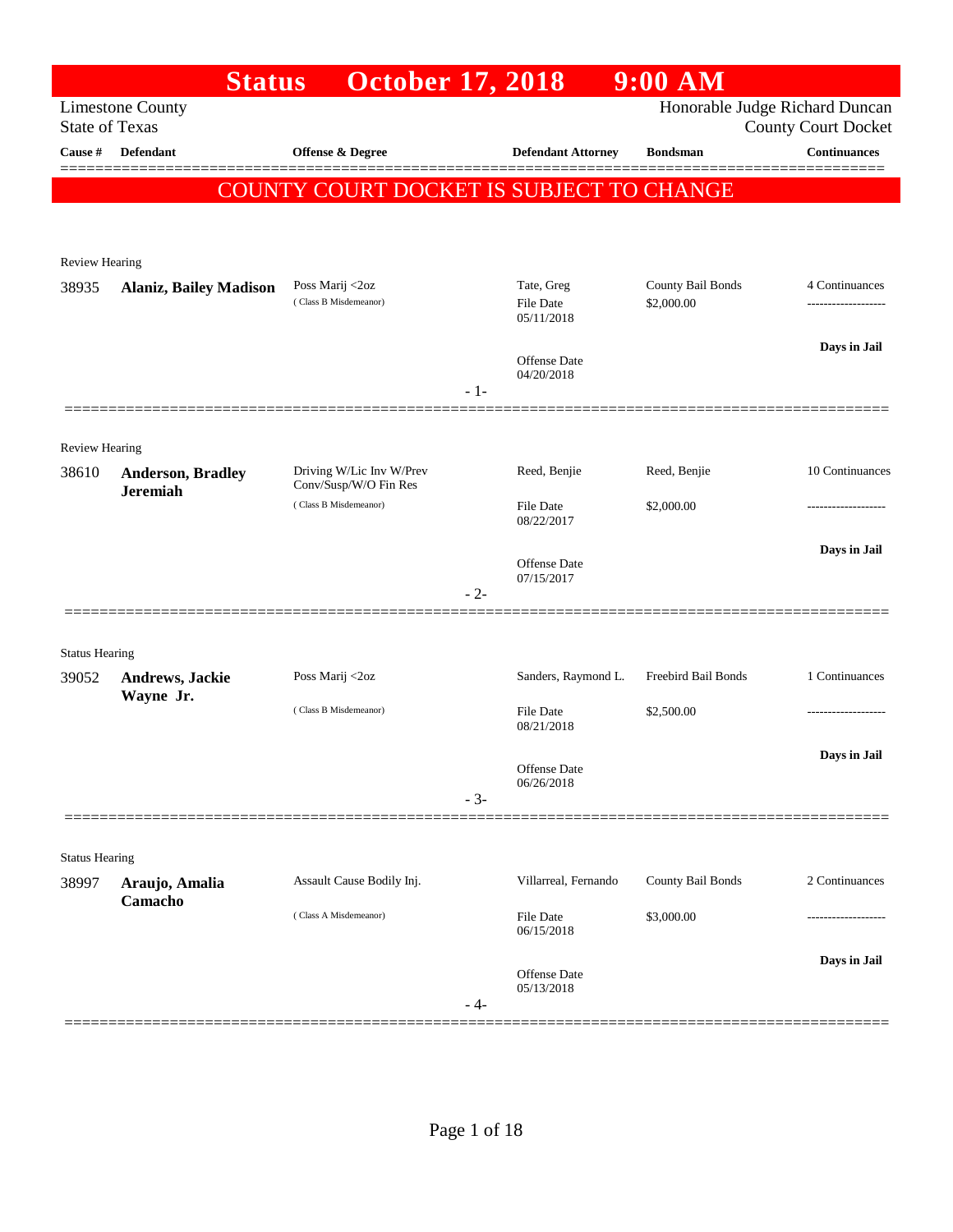|                       | <b>Status</b>                               | <b>October 17, 2018</b>                           |       |                                | $9:00$ AM           |                                                   |
|-----------------------|---------------------------------------------|---------------------------------------------------|-------|--------------------------------|---------------------|---------------------------------------------------|
| <b>State of Texas</b> | <b>Limestone County</b>                     |                                                   |       |                                |                     | Honorable Judge Richard Duncan                    |
| Cause #               | Defendant                                   | <b>Offense &amp; Degree</b>                       |       | <b>Defendant Attorney</b>      | <b>Bondsman</b>     | <b>County Court Docket</b><br><b>Continuances</b> |
|                       |                                             |                                                   |       |                                |                     |                                                   |
|                       |                                             | COUNTY COURT DOCKET IS SUBJECT TO CHANGE          |       |                                |                     |                                                   |
|                       |                                             |                                                   |       |                                |                     |                                                   |
| <b>Review Hearing</b> |                                             |                                                   |       |                                |                     |                                                   |
| 38935                 | <b>Alaniz, Bailey Madison</b>               | Poss Marij <2oz                                   |       | Tate, Greg                     | County Bail Bonds   | 4 Continuances                                    |
|                       |                                             | (Class B Misdemeanor)                             |       | <b>File Date</b><br>05/11/2018 | \$2,000.00          |                                                   |
|                       |                                             |                                                   |       |                                |                     | Days in Jail                                      |
|                       |                                             |                                                   |       | Offense Date<br>04/20/2018     |                     |                                                   |
|                       |                                             |                                                   | $-1-$ |                                |                     |                                                   |
|                       |                                             |                                                   |       |                                |                     |                                                   |
| Review Hearing        |                                             |                                                   |       |                                |                     | 10 Continuances                                   |
| 38610                 | <b>Anderson, Bradley</b><br><b>Jeremiah</b> | Driving W/Lic Inv W/Prev<br>Conv/Susp/W/O Fin Res |       | Reed, Benjie                   | Reed, Benjie        |                                                   |
|                       |                                             | (Class B Misdemeanor)                             |       | <b>File Date</b><br>08/22/2017 | \$2,000.00          |                                                   |
|                       |                                             |                                                   |       |                                |                     | Days in Jail                                      |
|                       |                                             |                                                   |       | Offense Date<br>07/15/2017     |                     |                                                   |
|                       |                                             |                                                   | $-2-$ |                                |                     |                                                   |
|                       |                                             |                                                   |       |                                |                     |                                                   |
| <b>Status Hearing</b> |                                             |                                                   |       |                                |                     |                                                   |
| 39052                 | Andrews, Jackie<br>Wayne Jr.                | Poss Marij <2oz                                   |       | Sanders, Raymond L.            | Freebird Bail Bonds | 1 Continuances                                    |
|                       |                                             | (Class B Misdemeanor)                             |       | <b>File Date</b><br>08/21/2018 | \$2,500.00          | .                                                 |
|                       |                                             |                                                   |       |                                |                     | Days in Jail                                      |
|                       |                                             |                                                   |       | Offense Date<br>06/26/2018     |                     |                                                   |
|                       |                                             |                                                   | $-3-$ |                                |                     |                                                   |
|                       |                                             |                                                   |       |                                |                     |                                                   |
| <b>Status Hearing</b> |                                             |                                                   |       |                                |                     |                                                   |
| 38997                 | Araujo, Amalia<br>Camacho                   | Assault Cause Bodily Inj.                         |       | Villarreal, Fernando           | County Bail Bonds   | 2 Continuances                                    |
|                       |                                             | (Class A Misdemeanor)                             |       | File Date<br>06/15/2018        | \$3,000.00          | .                                                 |
|                       |                                             |                                                   |       |                                |                     | Days in Jail                                      |
|                       |                                             |                                                   |       | Offense Date<br>05/13/2018     |                     |                                                   |
|                       |                                             |                                                   | - 4-  |                                |                     |                                                   |
|                       |                                             |                                                   |       |                                |                     |                                                   |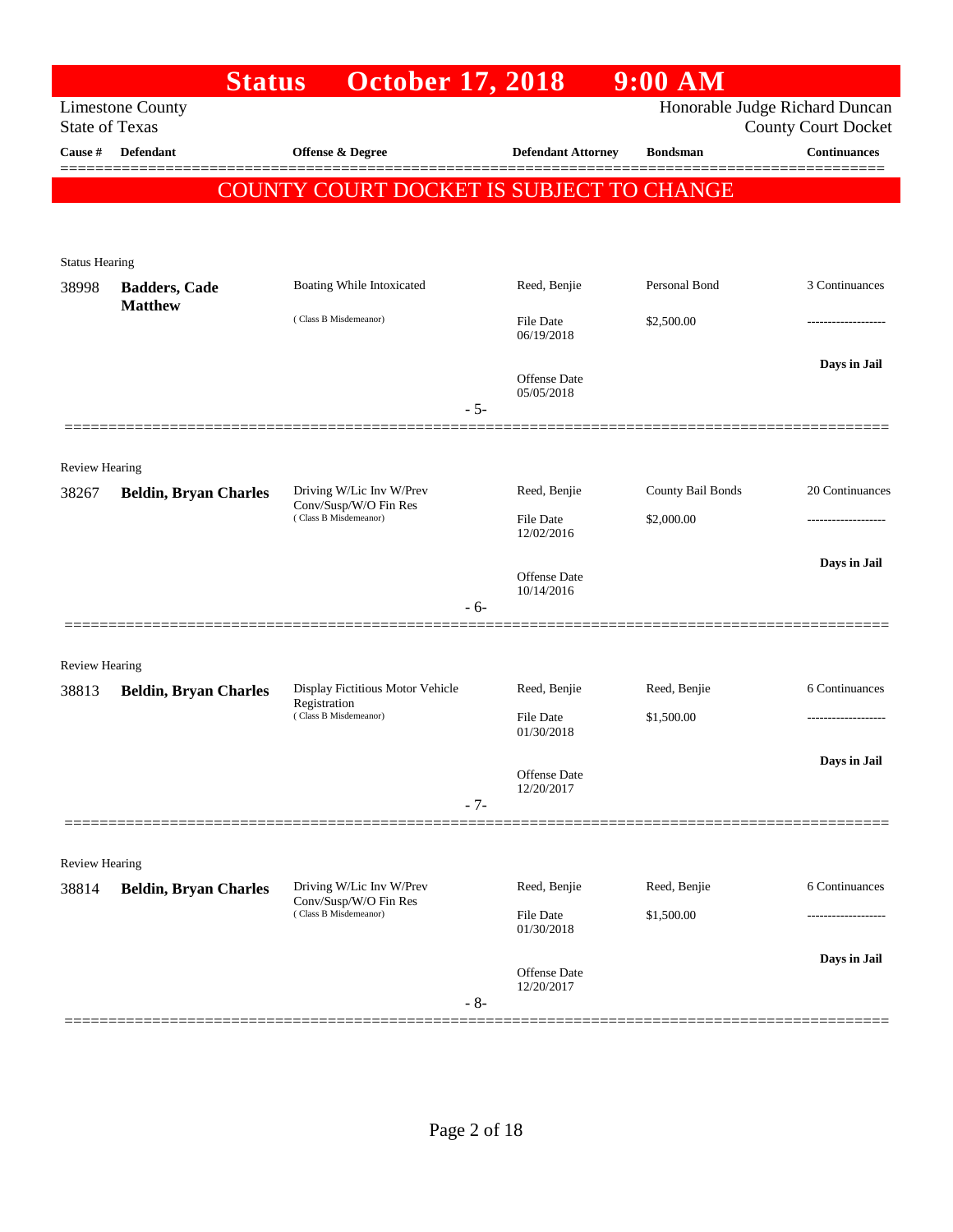|                                | <b>Status</b>                                    | <b>October 17, 2018</b>                                                   |                                   | $9:00$ AM                  |                                                              |
|--------------------------------|--------------------------------------------------|---------------------------------------------------------------------------|-----------------------------------|----------------------------|--------------------------------------------------------------|
|                                | <b>Limestone County</b><br><b>State of Texas</b> |                                                                           |                                   |                            | Honorable Judge Richard Duncan<br><b>County Court Docket</b> |
| Cause #                        | <b>Defendant</b>                                 | <b>Offense &amp; Degree</b>                                               | <b>Defendant Attorney</b>         | <b>Bondsman</b>            | Continuances                                                 |
|                                |                                                  | COUNTY COURT DOCKET IS SUBJECT TO CHANGE                                  |                                   |                            |                                                              |
|                                |                                                  |                                                                           |                                   |                            |                                                              |
| <b>Status Hearing</b>          |                                                  |                                                                           |                                   |                            |                                                              |
| 38998                          | <b>Badders, Cade</b>                             | Boating While Intoxicated                                                 | Reed, Benjie                      | Personal Bond              | 3 Continuances                                               |
|                                | <b>Matthew</b>                                   | (Class B Misdemeanor)                                                     | File Date<br>06/19/2018           | \$2,500.00                 |                                                              |
|                                |                                                  |                                                                           | <b>Offense Date</b><br>05/05/2018 |                            | Days in Jail                                                 |
|                                |                                                  | $-5-$                                                                     |                                   |                            |                                                              |
| Review Hearing                 |                                                  |                                                                           |                                   |                            |                                                              |
| 38267                          | <b>Beldin, Bryan Charles</b>                     | Driving W/Lic Inv W/Prev<br>Conv/Susp/W/O Fin Res                         | Reed, Benjie                      | County Bail Bonds          | 20 Continuances                                              |
|                                |                                                  | (Class B Misdemeanor)                                                     | <b>File Date</b><br>12/02/2016    | \$2,000.00                 |                                                              |
|                                |                                                  |                                                                           | <b>Offense Date</b>               |                            | Days in Jail                                                 |
|                                |                                                  | $-6-$                                                                     | 10/14/2016                        |                            |                                                              |
|                                |                                                  |                                                                           |                                   |                            |                                                              |
| <b>Review Hearing</b>          |                                                  |                                                                           |                                   |                            |                                                              |
| 38813                          | <b>Beldin, Bryan Charles</b>                     | Display Fictitious Motor Vehicle<br>Registration<br>(Class B Misdemeanor) | Reed, Benjie<br>File Date         | Reed, Benjie<br>\$1,500.00 | 6 Continuances                                               |
|                                |                                                  |                                                                           | 01/30/2018                        |                            |                                                              |
|                                |                                                  |                                                                           | Offense Date                      |                            | Days in Jail                                                 |
|                                |                                                  | $-7-$                                                                     | 12/20/2017                        |                            |                                                              |
|                                |                                                  |                                                                           |                                   |                            |                                                              |
| <b>Review Hearing</b><br>38814 | <b>Beldin, Bryan Charles</b>                     | Driving W/Lic Inv W/Prev                                                  | Reed, Benjie                      | Reed, Benjie               | 6 Continuances                                               |
|                                |                                                  | Conv/Susp/W/O Fin Res<br>(Class B Misdemeanor)                            | <b>File Date</b><br>01/30/2018    | \$1,500.00                 |                                                              |
|                                |                                                  | $-8-$                                                                     | Offense Date<br>12/20/2017        |                            | Days in Jail                                                 |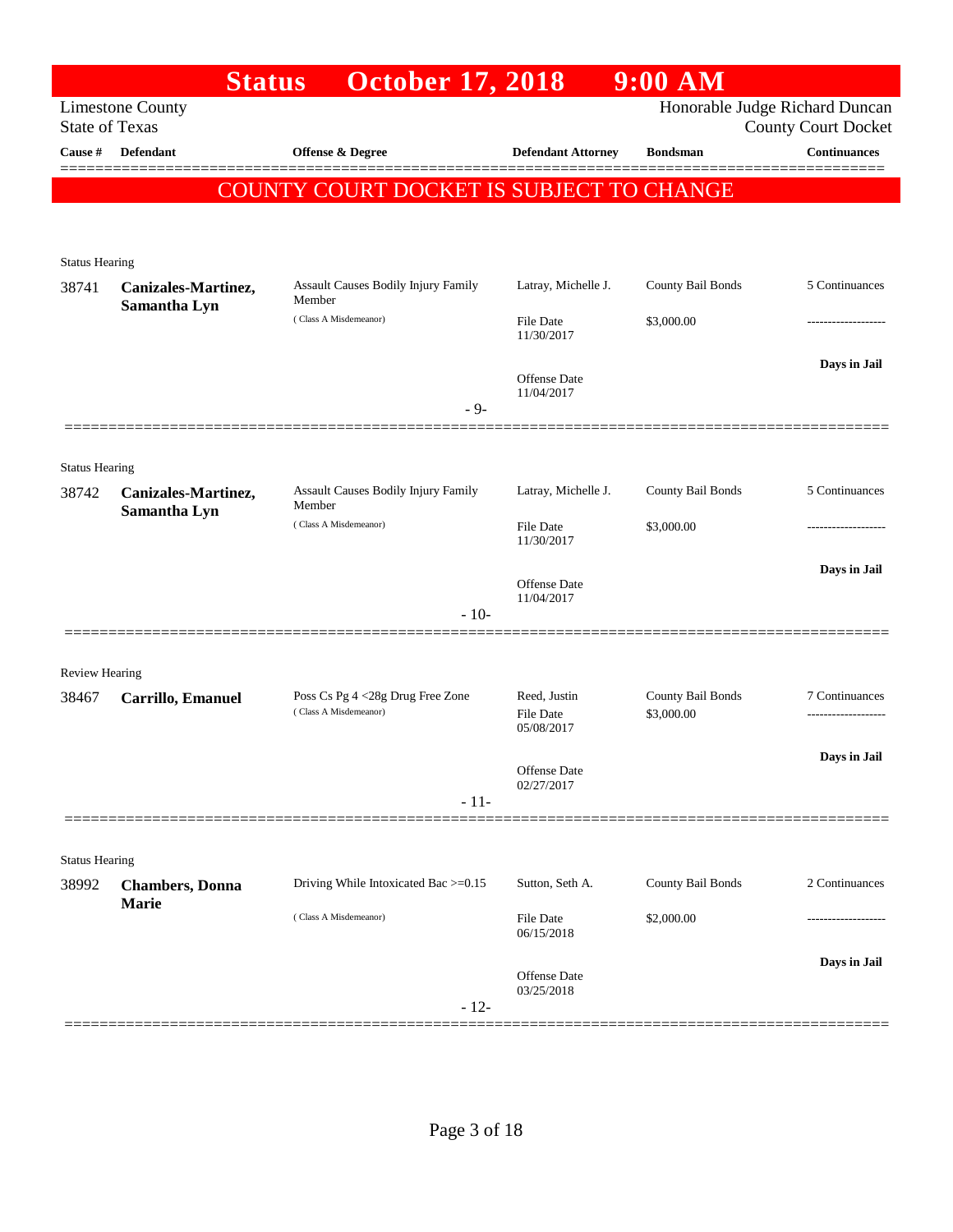|                                | <b>Status</b>           | <b>October 17, 2018</b>                                   |                                | $9:00$ AM         |                                                              |
|--------------------------------|-------------------------|-----------------------------------------------------------|--------------------------------|-------------------|--------------------------------------------------------------|
| <b>State of Texas</b>          | <b>Limestone County</b> |                                                           |                                |                   | Honorable Judge Richard Duncan<br><b>County Court Docket</b> |
| Cause #                        | Defendant               | Offense & Degree                                          | <b>Defendant Attorney</b>      | <b>Bondsman</b>   | Continuances                                                 |
|                                |                         | COUNTY COURT DOCKET IS SUBJECT TO CHANGE                  |                                |                   |                                                              |
|                                |                         |                                                           |                                |                   |                                                              |
|                                |                         |                                                           |                                |                   |                                                              |
| <b>Status Hearing</b><br>38741 | Canizales-Martinez,     | Assault Causes Bodily Injury Family                       | Latray, Michelle J.            | County Bail Bonds | 5 Continuances                                               |
|                                | Samantha Lyn            | Member<br>(Class A Misdemeanor)                           |                                |                   |                                                              |
|                                |                         |                                                           | <b>File Date</b><br>11/30/2017 | \$3,000.00        |                                                              |
|                                |                         |                                                           | Offense Date                   |                   | Days in Jail                                                 |
|                                |                         | $-9-$                                                     | 11/04/2017                     |                   |                                                              |
|                                |                         |                                                           |                                |                   |                                                              |
| <b>Status Hearing</b>          |                         |                                                           |                                |                   |                                                              |
| 38742                          | Canizales-Martinez,     | Assault Causes Bodily Injury Family                       | Latray, Michelle J.            | County Bail Bonds | 5 Continuances                                               |
|                                | Samantha Lyn            | Member<br>(Class A Misdemeanor)                           | <b>File Date</b>               | \$3,000.00        |                                                              |
|                                |                         |                                                           | 11/30/2017                     |                   |                                                              |
|                                |                         |                                                           | Offense Date                   |                   | Days in Jail                                                 |
|                                |                         | $-10-$                                                    | 11/04/2017                     |                   |                                                              |
|                                |                         |                                                           |                                |                   |                                                              |
| <b>Review Hearing</b>          |                         |                                                           |                                |                   |                                                              |
| 38467                          | Carrillo, Emanuel       | Poss Cs Pg 4 <28g Drug Free Zone<br>(Class A Misdemeanor) | Reed, Justin                   | County Bail Bonds | 7 Continuances                                               |
|                                |                         |                                                           | <b>File Date</b><br>05/08/2017 | \$3,000.00        |                                                              |
|                                |                         |                                                           | Offense Date                   |                   | Days in Jail                                                 |
|                                |                         | $-11-$                                                    | 02/27/2017                     |                   |                                                              |
|                                |                         |                                                           |                                |                   |                                                              |
| <b>Status Hearing</b>          |                         |                                                           |                                |                   |                                                              |
| 38992                          | <b>Chambers</b> , Donna | Driving While Intoxicated Bac >=0.15                      | Sutton, Seth A.                | County Bail Bonds | 2 Continuances                                               |
|                                | Marie                   | (Class A Misdemeanor)                                     | <b>File Date</b>               | \$2,000.00        |                                                              |
|                                |                         |                                                           | 06/15/2018                     |                   |                                                              |
|                                |                         |                                                           | Offense Date                   |                   | Days in Jail                                                 |
|                                |                         | $-12-$                                                    | 03/25/2018                     |                   |                                                              |
|                                |                         |                                                           |                                |                   |                                                              |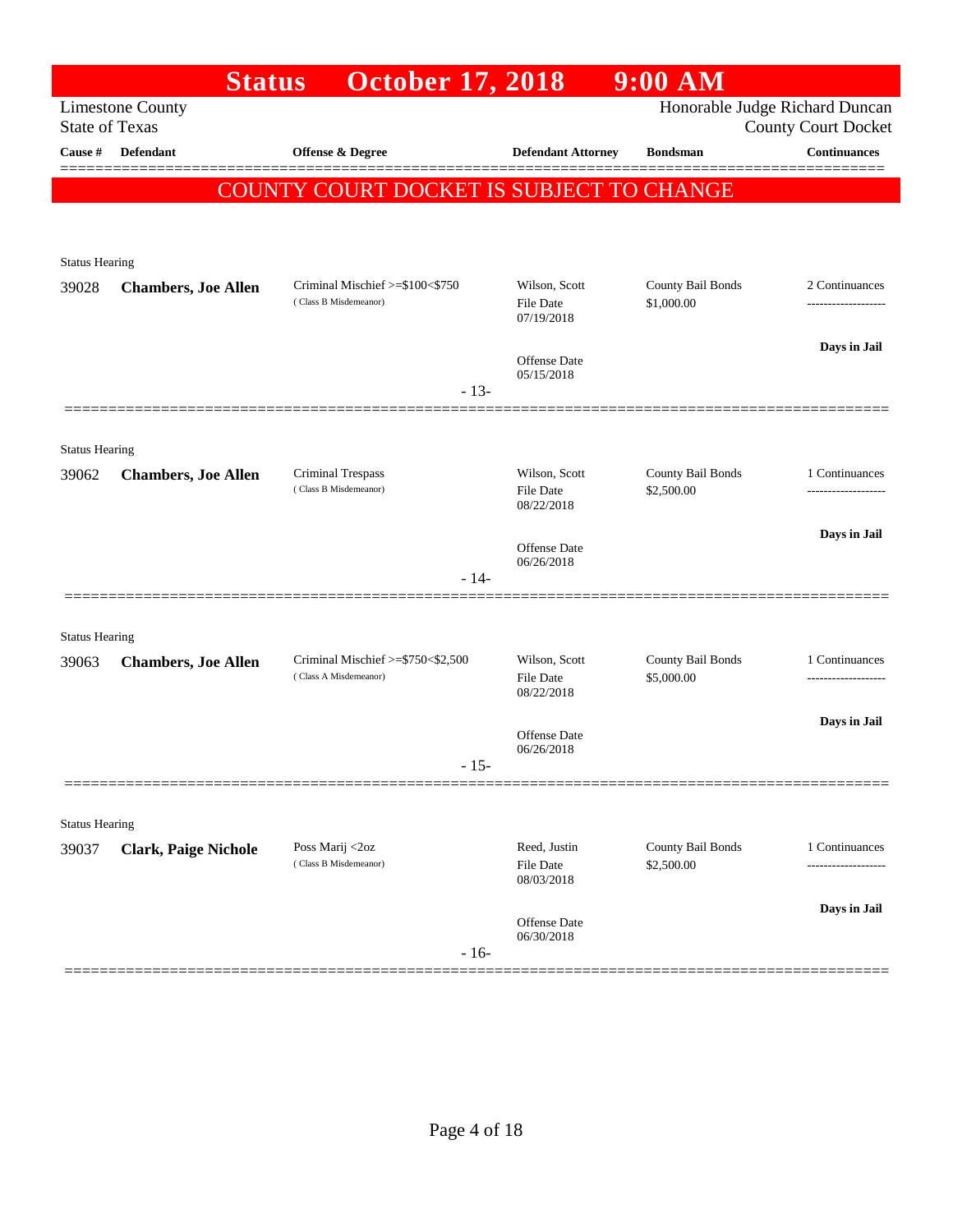|                       | <b>Status</b>               | <b>October 17, 2018</b>                                    |                                  | $9:00$ AM                       |                                                              |
|-----------------------|-----------------------------|------------------------------------------------------------|----------------------------------|---------------------------------|--------------------------------------------------------------|
| <b>State of Texas</b> | <b>Limestone County</b>     |                                                            |                                  |                                 | Honorable Judge Richard Duncan<br><b>County Court Docket</b> |
| Cause #               | <b>Defendant</b>            | Offense & Degree                                           | <b>Defendant Attorney</b>        | <b>Bondsman</b>                 | Continuances                                                 |
|                       |                             | <b>COUNTY COURT DOCKET IS SUBJECT TO CHANGE</b>            |                                  |                                 |                                                              |
|                       |                             |                                                            |                                  |                                 |                                                              |
| <b>Status Hearing</b> |                             |                                                            |                                  |                                 |                                                              |
| 39028                 | <b>Chambers, Joe Allen</b>  | Criminal Mischief >=\$100<\$750                            | Wilson, Scott                    | County Bail Bonds               | 2 Continuances                                               |
|                       |                             | (Class B Misdemeanor)                                      | <b>File Date</b><br>07/19/2018   | \$1,000.00                      |                                                              |
|                       |                             |                                                            | <b>Offense</b> Date              |                                 | Days in Jail                                                 |
|                       |                             | $-13-$                                                     | 05/15/2018                       |                                 |                                                              |
|                       |                             |                                                            |                                  |                                 |                                                              |
| <b>Status Hearing</b> |                             |                                                            |                                  |                                 |                                                              |
| 39062                 | <b>Chambers, Joe Allen</b>  | <b>Criminal Trespass</b><br>(Class B Misdemeanor)          | Wilson, Scott                    | County Bail Bonds<br>\$2,500.00 | 1 Continuances                                               |
|                       |                             |                                                            | <b>File Date</b><br>08/22/2018   |                                 |                                                              |
|                       |                             |                                                            | <b>Offense</b> Date              |                                 | Days in Jail                                                 |
|                       |                             | $-14-$                                                     | 06/26/2018                       |                                 |                                                              |
|                       |                             |                                                            |                                  |                                 |                                                              |
| <b>Status Hearing</b> |                             |                                                            |                                  |                                 |                                                              |
| 39063                 | <b>Chambers, Joe Allen</b>  | Criminal Mischief >=\$750<\$2,500<br>(Class A Misdemeanor) | Wilson, Scott                    | County Bail Bonds               | 1 Continuances                                               |
|                       |                             |                                                            | <b>File Date</b><br>08/22/2018   | \$5,000.00                      |                                                              |
|                       |                             |                                                            | <b>Offense Date</b>              |                                 | Days in Jail                                                 |
|                       |                             | $-15-$                                                     | 06/26/2018                       |                                 |                                                              |
|                       |                             |                                                            |                                  |                                 |                                                              |
| <b>Status Hearing</b> |                             |                                                            |                                  |                                 |                                                              |
| 39037                 | <b>Clark, Paige Nichole</b> | Poss Marij <2oz<br>(Class B Misdemeanor)                   | Reed, Justin<br><b>File Date</b> | County Bail Bonds<br>\$2,500.00 | 1 Continuances                                               |
|                       |                             |                                                            | 08/03/2018                       |                                 |                                                              |
|                       |                             |                                                            | Offense Date                     |                                 | Days in Jail                                                 |
|                       |                             | $-16-$                                                     | 06/30/2018                       |                                 |                                                              |
|                       |                             |                                                            |                                  |                                 |                                                              |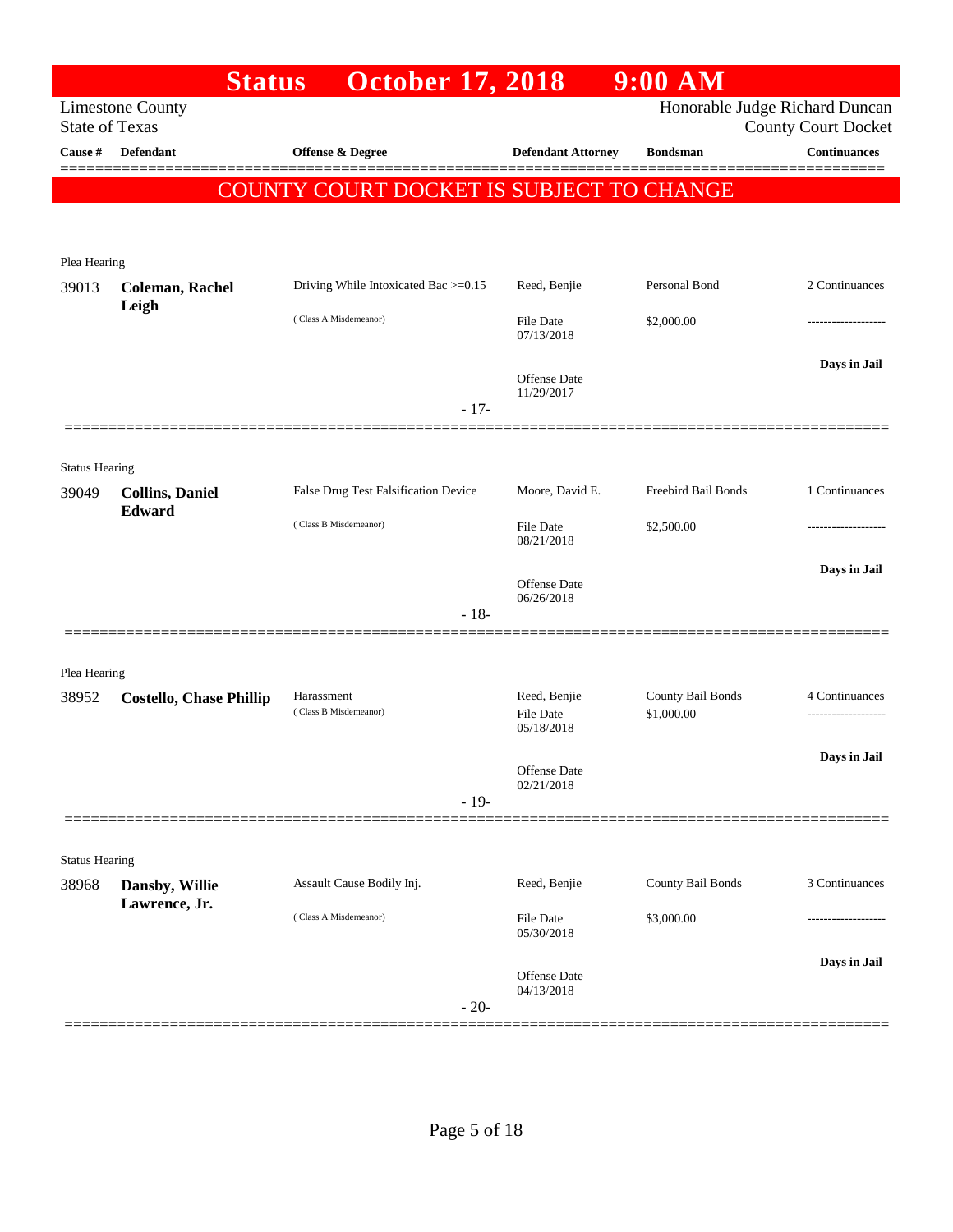|                                | <b>Status</b>                   | <b>October 17, 2018</b>                         |                            | $9:00$ AM           |                                                   |
|--------------------------------|---------------------------------|-------------------------------------------------|----------------------------|---------------------|---------------------------------------------------|
| <b>State of Texas</b>          | <b>Limestone County</b>         |                                                 |                            |                     | Honorable Judge Richard Duncan                    |
| Cause #                        | Defendant                       | Offense & Degree                                | <b>Defendant Attorney</b>  | <b>Bondsman</b>     | <b>County Court Docket</b><br><b>Continuances</b> |
|                                |                                 |                                                 |                            |                     |                                                   |
|                                |                                 | <b>COUNTY COURT DOCKET IS SUBJECT TO CHANGE</b> |                            |                     |                                                   |
|                                |                                 |                                                 |                            |                     |                                                   |
| Plea Hearing                   |                                 |                                                 |                            |                     |                                                   |
| 39013                          | <b>Coleman, Rachel</b><br>Leigh | Driving While Intoxicated Bac >=0.15            | Reed, Benjie               | Personal Bond       | 2 Continuances                                    |
|                                |                                 | (Class A Misdemeanor)                           | File Date<br>07/13/2018    | \$2,000.00          |                                                   |
|                                |                                 |                                                 |                            |                     | Days in Jail                                      |
|                                |                                 |                                                 | Offense Date<br>11/29/2017 |                     |                                                   |
|                                |                                 | $-17-$                                          |                            |                     |                                                   |
|                                |                                 |                                                 |                            |                     |                                                   |
| <b>Status Hearing</b><br>39049 | <b>Collins, Daniel</b>          | False Drug Test Falsification Device            | Moore, David E.            | Freebird Bail Bonds | 1 Continuances                                    |
|                                | Edward                          | (Class B Misdemeanor)                           | File Date                  | \$2,500.00          |                                                   |
|                                |                                 |                                                 | 08/21/2018                 |                     |                                                   |
|                                |                                 |                                                 | Offense Date               |                     | Days in Jail                                      |
|                                |                                 | $-18-$                                          | 06/26/2018                 |                     |                                                   |
|                                |                                 |                                                 |                            |                     |                                                   |
| Plea Hearing                   |                                 |                                                 |                            |                     |                                                   |
| 38952                          | <b>Costello, Chase Phillip</b>  | Harassment                                      | Reed, Benjie               | County Bail Bonds   | 4 Continuances                                    |
|                                |                                 | (Class B Misdemeanor)                           | File Date<br>05/18/2018    | \$1,000.00          |                                                   |
|                                |                                 |                                                 |                            |                     | Days in Jail                                      |
|                                |                                 |                                                 | Offense Date<br>02/21/2018 |                     |                                                   |
|                                |                                 | $-19-$                                          |                            |                     |                                                   |
| <b>Status Hearing</b>          |                                 |                                                 |                            |                     |                                                   |
| 38968                          | Dansby, Willie                  | Assault Cause Bodily Inj.                       | Reed, Benjie               | County Bail Bonds   | 3 Continuances                                    |
|                                | Lawrence, Jr.                   | (Class A Misdemeanor)                           | <b>File Date</b>           | \$3,000.00          |                                                   |
|                                |                                 |                                                 | 05/30/2018                 |                     |                                                   |
|                                |                                 |                                                 | Offense Date               |                     | Days in Jail                                      |
|                                |                                 | $-20-$                                          | 04/13/2018                 |                     |                                                   |
|                                |                                 |                                                 |                            |                     |                                                   |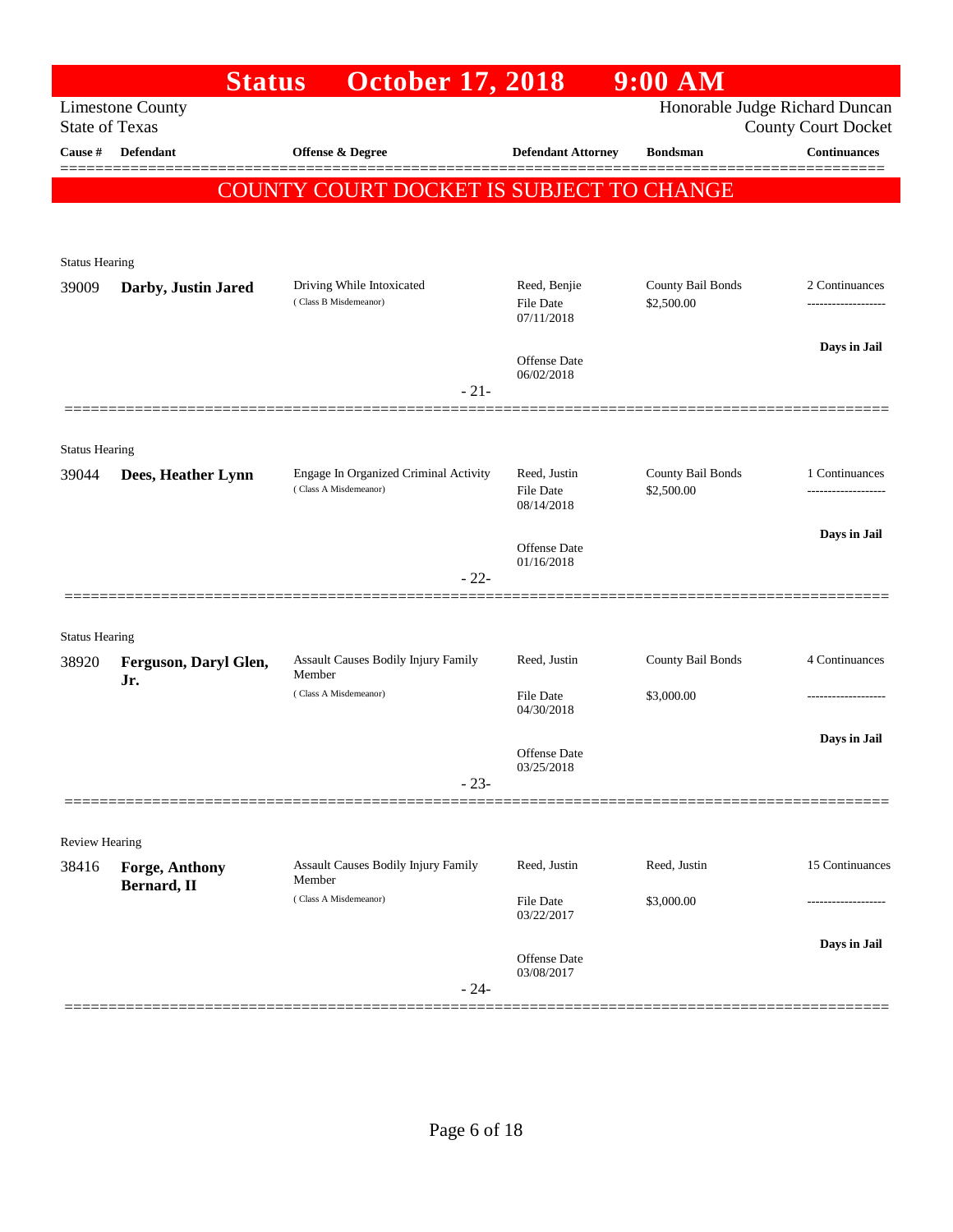|                       | <b>Status</b>                        | <b>October 17, 2018</b>                         |                                | $9:00$ AM         |                                                              |
|-----------------------|--------------------------------------|-------------------------------------------------|--------------------------------|-------------------|--------------------------------------------------------------|
| <b>State of Texas</b> | <b>Limestone County</b>              |                                                 |                                |                   | Honorable Judge Richard Duncan<br><b>County Court Docket</b> |
| Cause #               | Defendant                            | Offense & Degree                                | <b>Defendant Attorney</b>      | <b>Bondsman</b>   | <b>Continuances</b>                                          |
|                       |                                      | <b>COUNTY COURT DOCKET IS SUBJECT TO CHANGE</b> |                                |                   |                                                              |
|                       |                                      |                                                 |                                |                   |                                                              |
| <b>Status Hearing</b> |                                      |                                                 |                                |                   |                                                              |
| 39009                 | Darby, Justin Jared                  | Driving While Intoxicated                       | Reed, Benjie                   | County Bail Bonds | 2 Continuances                                               |
|                       |                                      | (Class B Misdemeanor)                           | File Date<br>07/11/2018        | \$2,500.00        |                                                              |
|                       |                                      |                                                 |                                |                   | Days in Jail                                                 |
|                       |                                      | $-21-$                                          | Offense Date<br>06/02/2018     |                   |                                                              |
|                       |                                      |                                                 |                                |                   |                                                              |
| <b>Status Hearing</b> |                                      |                                                 |                                |                   |                                                              |
| 39044                 | Dees, Heather Lynn                   | Engage In Organized Criminal Activity           | Reed, Justin                   | County Bail Bonds | 1 Continuances                                               |
|                       |                                      | (Class A Misdemeanor)                           | <b>File Date</b><br>08/14/2018 | \$2,500.00        |                                                              |
|                       |                                      |                                                 | Offense Date                   |                   | Days in Jail                                                 |
|                       |                                      | $-22-$                                          | 01/16/2018                     |                   |                                                              |
|                       |                                      |                                                 |                                |                   |                                                              |
| <b>Status Hearing</b> |                                      |                                                 |                                |                   |                                                              |
| 38920                 | Ferguson, Daryl Glen,                | Assault Causes Bodily Injury Family<br>Member   | Reed, Justin                   | County Bail Bonds | 4 Continuances                                               |
|                       | Jr.                                  | (Class A Misdemeanor)                           | File Date                      | \$3,000.00        |                                                              |
|                       |                                      |                                                 | 04/30/2018                     |                   | Days in Jail                                                 |
|                       |                                      |                                                 | Offense Date<br>03/25/2018     |                   |                                                              |
|                       |                                      | $-23-$                                          |                                |                   |                                                              |
|                       |                                      |                                                 |                                |                   |                                                              |
| Review Hearing        |                                      | <b>Assault Causes Bodily Injury Family</b>      |                                |                   | 15 Continuances                                              |
| 38416                 | <b>Forge, Anthony</b><br>Bernard, II | Member                                          | Reed, Justin                   | Reed, Justin      |                                                              |
|                       |                                      | (Class A Misdemeanor)                           | File Date<br>03/22/2017        | \$3,000.00        |                                                              |
|                       |                                      |                                                 |                                |                   | Days in Jail                                                 |
|                       |                                      |                                                 | Offense Date<br>03/08/2017     |                   |                                                              |
|                       |                                      | $-24-$                                          |                                |                   |                                                              |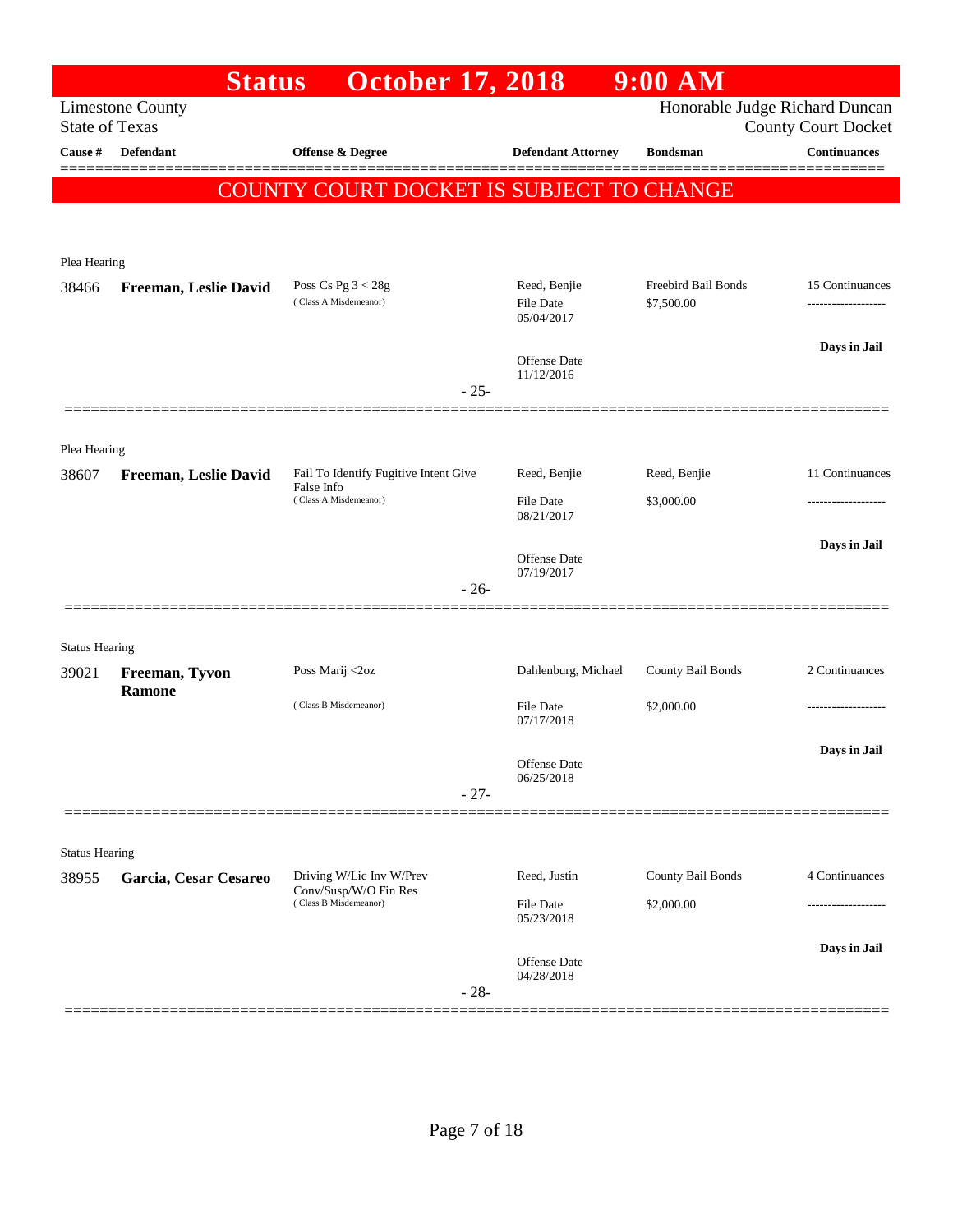|                       | <b>Status</b>           | <b>October 17, 2018</b>                                                      |        |                                                | $9:00$ AM                         |                                                              |
|-----------------------|-------------------------|------------------------------------------------------------------------------|--------|------------------------------------------------|-----------------------------------|--------------------------------------------------------------|
| <b>State of Texas</b> | <b>Limestone County</b> |                                                                              |        |                                                |                                   | Honorable Judge Richard Duncan<br><b>County Court Docket</b> |
| Cause #               | Defendant               | Offense & Degree                                                             |        | <b>Defendant Attorney</b>                      | <b>Bondsman</b>                   | <b>Continuances</b>                                          |
|                       |                         | COUNTY COURT DOCKET IS SUBJECT TO CHANGE                                     |        |                                                |                                   |                                                              |
| Plea Hearing          |                         |                                                                              |        |                                                |                                   |                                                              |
| 38466                 | Freeman, Leslie David   | Poss Cs Pg $3 < 28g$<br>(Class A Misdemeanor)                                |        | Reed, Benjie<br><b>File Date</b><br>05/04/2017 | Freebird Bail Bonds<br>\$7,500.00 | 15 Continuances                                              |
|                       |                         |                                                                              |        | Offense Date<br>11/12/2016                     |                                   | Days in Jail                                                 |
|                       |                         |                                                                              | $-25-$ |                                                |                                   |                                                              |
| Plea Hearing          |                         |                                                                              |        |                                                |                                   |                                                              |
| 38607                 | Freeman, Leslie David   | Fail To Identify Fugitive Intent Give<br>False Info<br>(Class A Misdemeanor) |        | Reed, Benjie<br><b>File Date</b><br>08/21/2017 | Reed, Benjie<br>\$3,000.00        | 11 Continuances                                              |
|                       |                         |                                                                              |        | Offense Date<br>07/19/2017                     |                                   | Days in Jail                                                 |
|                       |                         |                                                                              | $-26-$ |                                                |                                   |                                                              |
| <b>Status Hearing</b> |                         |                                                                              |        |                                                |                                   |                                                              |
| 39021                 | Freeman, Tyvon          | Poss Marij <2oz                                                              |        | Dahlenburg, Michael                            | County Bail Bonds                 | 2 Continuances                                               |
|                       | <b>Ramone</b>           | (Class B Misdemeanor)                                                        |        | <b>File Date</b><br>07/17/2018                 | \$2,000.00                        |                                                              |
|                       |                         |                                                                              |        | Offense Date<br>06/25/2018                     |                                   | Days in Jail                                                 |
|                       |                         |                                                                              | $-27-$ |                                                |                                   |                                                              |
| <b>Status Hearing</b> |                         |                                                                              |        |                                                |                                   |                                                              |
| 38955                 | Garcia, Cesar Cesareo   | Driving W/Lic Inv W/Prev<br>Conv/Susp/W/O Fin Res                            |        | Reed, Justin                                   | County Bail Bonds                 | 4 Continuances                                               |
|                       |                         | (Class B Misdemeanor)                                                        |        | <b>File Date</b><br>05/23/2018                 | \$2,000.00                        | .                                                            |
|                       |                         |                                                                              | $-28-$ | Offense Date<br>04/28/2018                     |                                   | Days in Jail                                                 |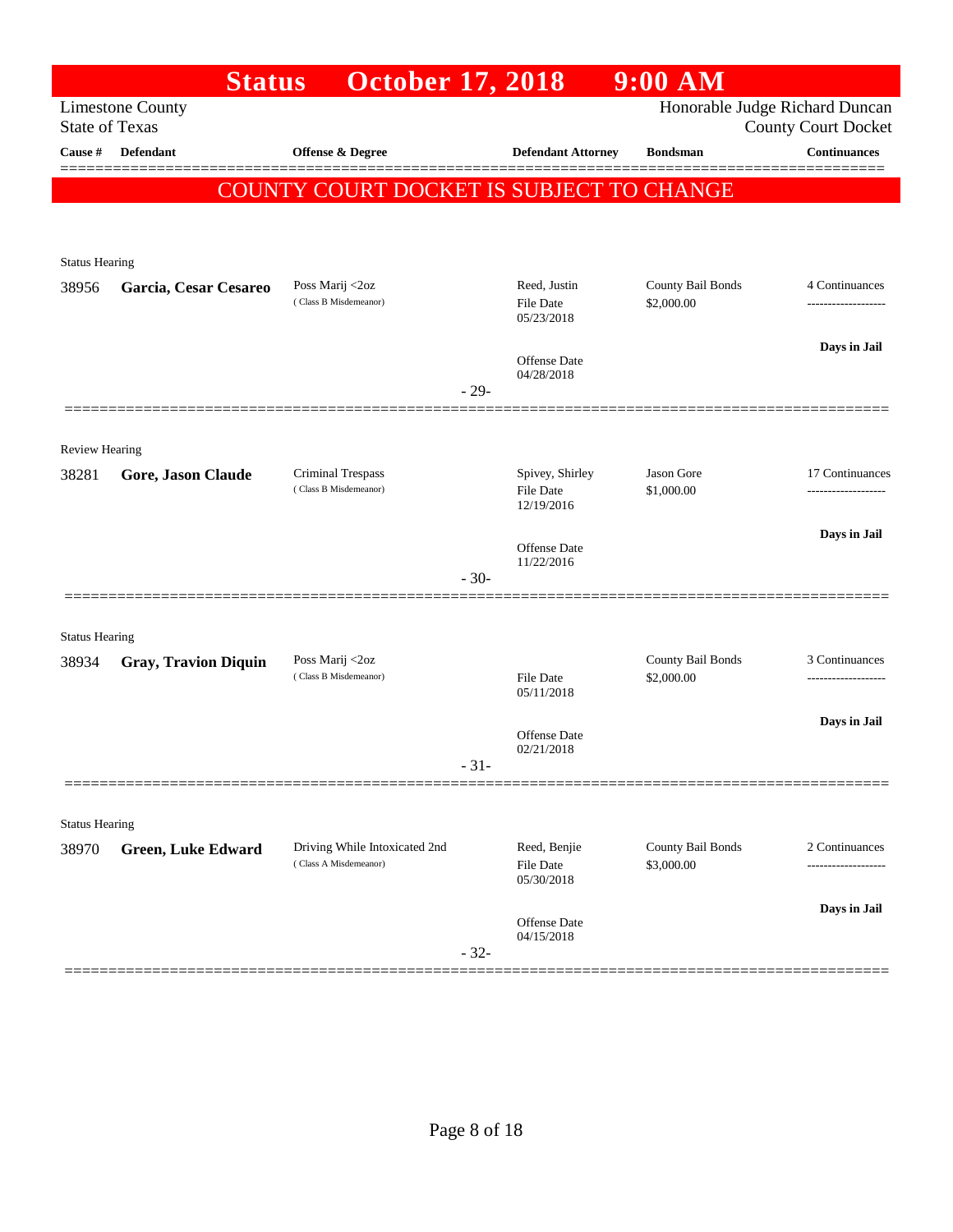|                                | <b>Status</b>               | <b>October 17, 2018</b>                                |        |                                | $9:00$ AM                       |                                                              |
|--------------------------------|-----------------------------|--------------------------------------------------------|--------|--------------------------------|---------------------------------|--------------------------------------------------------------|
| <b>State of Texas</b>          | <b>Limestone County</b>     |                                                        |        |                                |                                 | Honorable Judge Richard Duncan<br><b>County Court Docket</b> |
| Cause #                        | Defendant                   | Offense & Degree                                       |        | <b>Defendant Attorney</b>      | <b>Bondsman</b>                 | <b>Continuances</b>                                          |
|                                |                             | COUNTY COURT DOCKET IS SUBJECT TO CHANGE               |        |                                |                                 |                                                              |
|                                |                             |                                                        |        |                                |                                 |                                                              |
|                                |                             |                                                        |        |                                |                                 |                                                              |
| <b>Status Hearing</b>          |                             |                                                        |        |                                |                                 |                                                              |
| 38956                          | Garcia, Cesar Cesareo       | Poss Marij <2oz<br>(Class B Misdemeanor)               |        | Reed, Justin<br>File Date      | County Bail Bonds<br>\$2,000.00 | 4 Continuances<br>-------------------                        |
|                                |                             |                                                        |        | 05/23/2018                     |                                 |                                                              |
|                                |                             |                                                        |        | <b>Offense Date</b>            |                                 | Days in Jail                                                 |
|                                |                             |                                                        |        | 04/28/2018                     |                                 |                                                              |
|                                |                             |                                                        | $-29-$ |                                |                                 |                                                              |
|                                |                             |                                                        |        |                                |                                 |                                                              |
| <b>Review Hearing</b><br>38281 | Gore, Jason Claude          | Criminal Trespass                                      |        | Spivey, Shirley                | Jason Gore                      | 17 Continuances                                              |
|                                |                             | (Class B Misdemeanor)                                  |        | <b>File Date</b><br>12/19/2016 | \$1,000.00                      |                                                              |
|                                |                             |                                                        |        |                                |                                 | Days in Jail                                                 |
|                                |                             |                                                        |        | Offense Date<br>11/22/2016     |                                 |                                                              |
|                                |                             |                                                        | $-30-$ |                                |                                 |                                                              |
|                                |                             |                                                        |        |                                |                                 |                                                              |
| <b>Status Hearing</b>          |                             |                                                        |        |                                |                                 |                                                              |
| 38934                          | <b>Gray, Travion Diquin</b> | Poss Marij <2oz<br>(Class B Misdemeanor)               |        | File Date                      | County Bail Bonds<br>\$2,000.00 | 3 Continuances                                               |
|                                |                             |                                                        |        | 05/11/2018                     |                                 |                                                              |
|                                |                             |                                                        |        | Offense Date                   |                                 | Days in Jail                                                 |
|                                |                             |                                                        |        | 02/21/2018                     |                                 |                                                              |
|                                |                             |                                                        | $-31-$ |                                |                                 |                                                              |
|                                |                             |                                                        |        |                                |                                 |                                                              |
| <b>Status Hearing</b>          |                             |                                                        |        | Reed, Benjie                   | County Bail Bonds               | 2 Continuances                                               |
| 38970                          | <b>Green, Luke Edward</b>   | Driving While Intoxicated 2nd<br>(Class A Misdemeanor) |        | <b>File Date</b>               | \$3,000.00                      | ---------                                                    |
|                                |                             |                                                        |        | 05/30/2018                     |                                 |                                                              |
|                                |                             |                                                        |        | Offense Date                   |                                 | Days in Jail                                                 |
|                                |                             |                                                        | $-32-$ | 04/15/2018                     |                                 |                                                              |
|                                |                             |                                                        |        |                                |                                 |                                                              |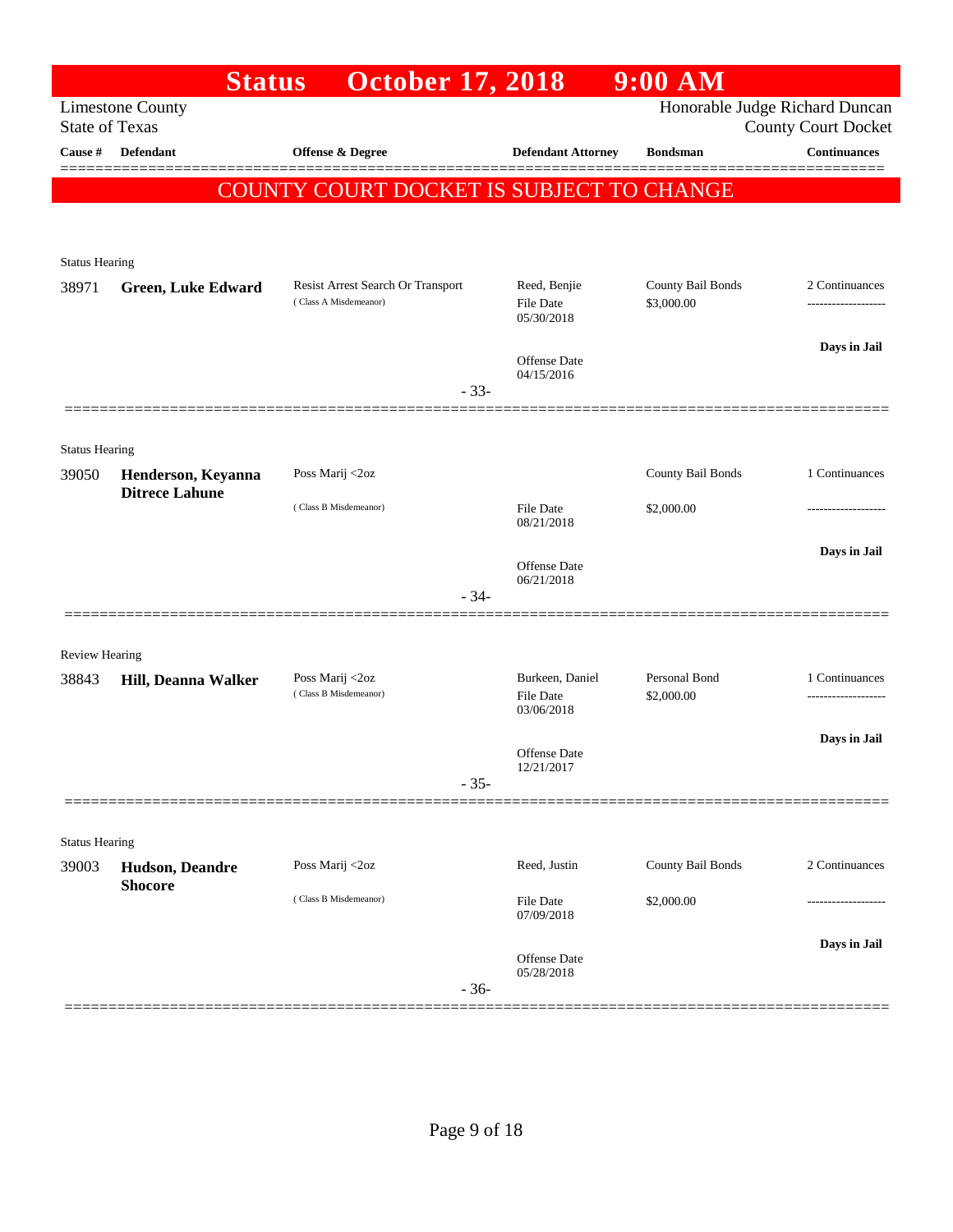|                       | <b>Status</b>                            | <b>October 17, 2018</b>                  |                                     | $9:00$ AM                   |                                                              |
|-----------------------|------------------------------------------|------------------------------------------|-------------------------------------|-----------------------------|--------------------------------------------------------------|
| <b>State of Texas</b> | <b>Limestone County</b>                  |                                          |                                     |                             | Honorable Judge Richard Duncan<br><b>County Court Docket</b> |
| Cause #               | <b>Defendant</b>                         | <b>Offense &amp; Degree</b>              | <b>Defendant Attorney</b>           | <b>Bondsman</b>             | Continuances                                                 |
|                       |                                          | COUNTY COURT DOCKET IS SUBJECT TO CHANGE |                                     |                             |                                                              |
|                       |                                          |                                          |                                     |                             |                                                              |
| <b>Status Hearing</b> |                                          |                                          |                                     |                             |                                                              |
| 38971                 | <b>Green, Luke Edward</b>                | Resist Arrest Search Or Transport        | Reed, Benjie                        | County Bail Bonds           | 2 Continuances                                               |
|                       |                                          | (Class A Misdemeanor)                    | <b>File Date</b><br>05/30/2018      | \$3,000.00                  | ------------------                                           |
|                       |                                          |                                          |                                     |                             | Days in Jail                                                 |
|                       |                                          |                                          | Offense Date<br>04/15/2016          |                             |                                                              |
|                       |                                          | $-33-$                                   |                                     |                             |                                                              |
| <b>Status Hearing</b> |                                          |                                          |                                     |                             |                                                              |
| 39050                 | Henderson, Keyanna                       | Poss Marij <2oz                          |                                     | County Bail Bonds           | 1 Continuances                                               |
|                       | <b>Ditrece Lahune</b>                    | (Class B Misdemeanor)                    | <b>File Date</b>                    | \$2,000.00                  |                                                              |
|                       |                                          |                                          | 08/21/2018                          |                             |                                                              |
|                       |                                          |                                          | Offense Date                        |                             | Days in Jail                                                 |
|                       |                                          | $-34-$                                   | 06/21/2018                          |                             |                                                              |
|                       |                                          |                                          |                                     |                             |                                                              |
| <b>Review Hearing</b> |                                          |                                          |                                     |                             |                                                              |
| 38843                 | Hill, Deanna Walker                      | Poss Marij <2oz<br>(Class B Misdemeanor) | Burkeen, Daniel<br><b>File Date</b> | Personal Bond<br>\$2,000.00 | 1 Continuances<br>.                                          |
|                       |                                          |                                          | 03/06/2018                          |                             |                                                              |
|                       |                                          |                                          | Offense Date                        |                             | Days in Jail                                                 |
|                       |                                          | $-35-$                                   | 12/21/2017                          |                             |                                                              |
|                       |                                          |                                          |                                     |                             |                                                              |
| <b>Status Hearing</b> |                                          |                                          |                                     |                             |                                                              |
| 39003                 | <b>Hudson, Deandre</b><br><b>Shocore</b> | Poss Marij <2oz                          | Reed, Justin                        | County Bail Bonds           | 2 Continuances                                               |
|                       |                                          | (Class B Misdemeanor)                    | <b>File Date</b><br>07/09/2018      | \$2,000.00                  |                                                              |
|                       |                                          |                                          | Offense Date                        |                             | Days in Jail                                                 |
|                       |                                          | $-36-$                                   | 05/28/2018                          |                             |                                                              |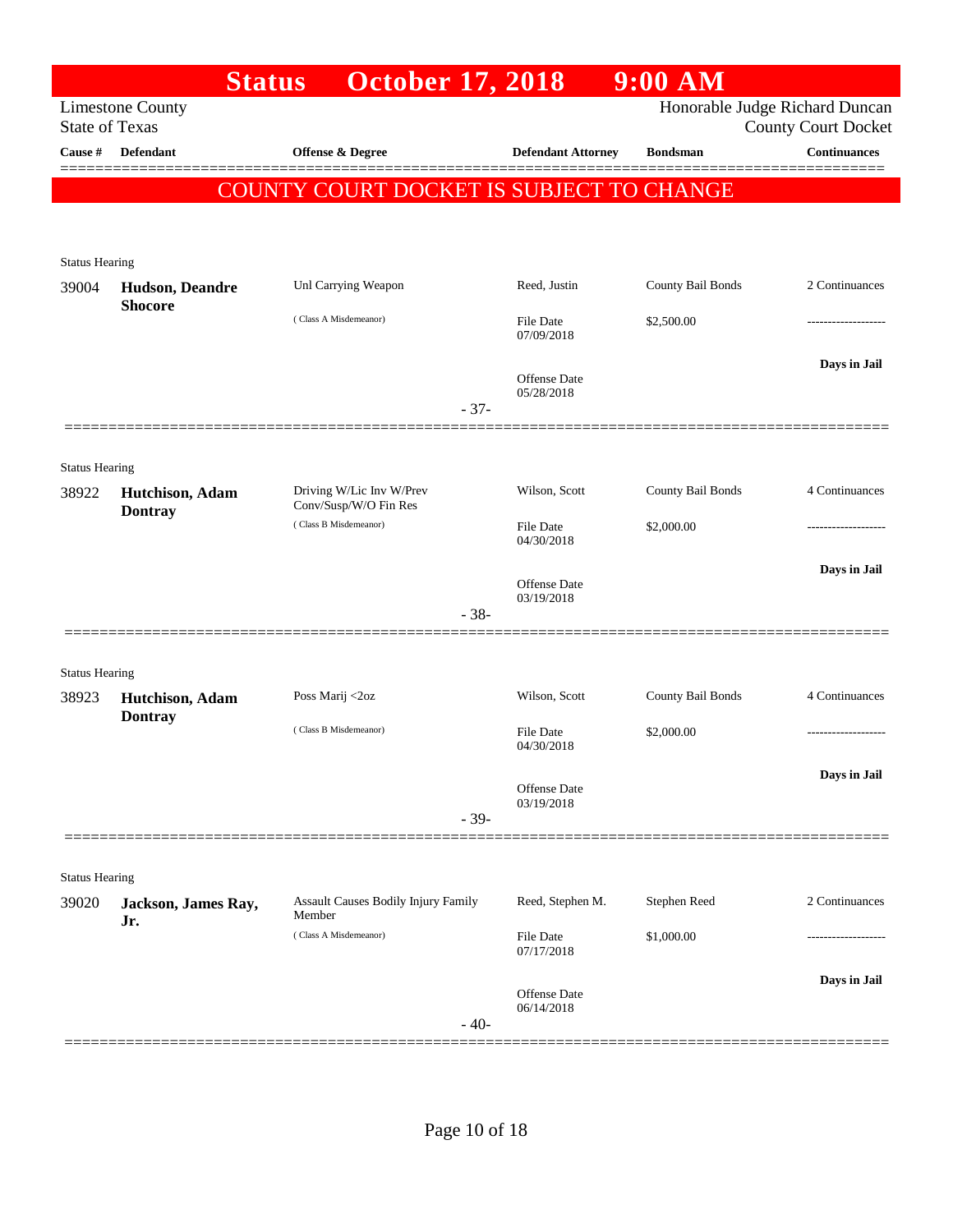|                       |                                           | <b>October 17, 2018</b><br><b>Status</b>          |                                | $9:00$ AM                      |                            |
|-----------------------|-------------------------------------------|---------------------------------------------------|--------------------------------|--------------------------------|----------------------------|
| <b>State of Texas</b> | <b>Limestone County</b>                   |                                                   |                                | Honorable Judge Richard Duncan | <b>County Court Docket</b> |
| Cause #               | <b>Defendant</b>                          | Offense & Degree                                  | <b>Defendant Attorney</b>      | <b>Bondsman</b>                | <b>Continuances</b>        |
|                       |                                           | COUNTY COURT DOCKET IS SUBJECT TO CHANGE          |                                |                                |                            |
|                       |                                           |                                                   |                                |                                |                            |
| <b>Status Hearing</b> |                                           |                                                   |                                |                                |                            |
| 39004                 | <b>Hudson</b> , Deandre<br><b>Shocore</b> | Unl Carrying Weapon                               | Reed, Justin                   | County Bail Bonds              | 2 Continuances             |
|                       |                                           | (Class A Misdemeanor)                             | <b>File Date</b><br>07/09/2018 | \$2,500.00                     |                            |
|                       |                                           |                                                   | Offense Date<br>05/28/2018     |                                | Days in Jail               |
|                       |                                           |                                                   | $-37-$                         |                                |                            |
| <b>Status Hearing</b> |                                           |                                                   |                                |                                |                            |
| 38922                 | Hutchison, Adam<br><b>Dontray</b>         | Driving W/Lic Inv W/Prev<br>Conv/Susp/W/O Fin Res | Wilson, Scott                  | County Bail Bonds              | 4 Continuances             |
|                       |                                           | (Class B Misdemeanor)                             | File Date<br>04/30/2018        | \$2,000.00                     |                            |
|                       |                                           |                                                   | Offense Date                   |                                | Days in Jail               |
|                       |                                           |                                                   | 03/19/2018<br>$-38-$           |                                |                            |
| <b>Status Hearing</b> |                                           |                                                   |                                |                                |                            |
| 38923                 | Hutchison, Adam<br><b>Dontray</b>         | Poss Marij <2oz                                   | Wilson, Scott                  | County Bail Bonds              | 4 Continuances             |
|                       |                                           | (Class B Misdemeanor)                             | File Date<br>04/30/2018        | \$2,000.00                     | ------------------         |
|                       |                                           |                                                   | Offense Date                   |                                | Days in Jail               |
|                       |                                           |                                                   | 03/19/2018<br>$-39-$           |                                |                            |
| <b>Status Hearing</b> |                                           |                                                   |                                |                                |                            |
| 39020                 | Jackson, James Ray,<br>Jr.                | Assault Causes Bodily Injury Family<br>Member     | Reed, Stephen M.               | Stephen Reed                   | 2 Continuances             |
|                       |                                           | (Class A Misdemeanor)                             | File Date<br>07/17/2018        | \$1,000.00                     |                            |
|                       |                                           |                                                   | Offense Date                   |                                | Days in Jail               |
|                       |                                           |                                                   | 06/14/2018<br>$-40-$           |                                |                            |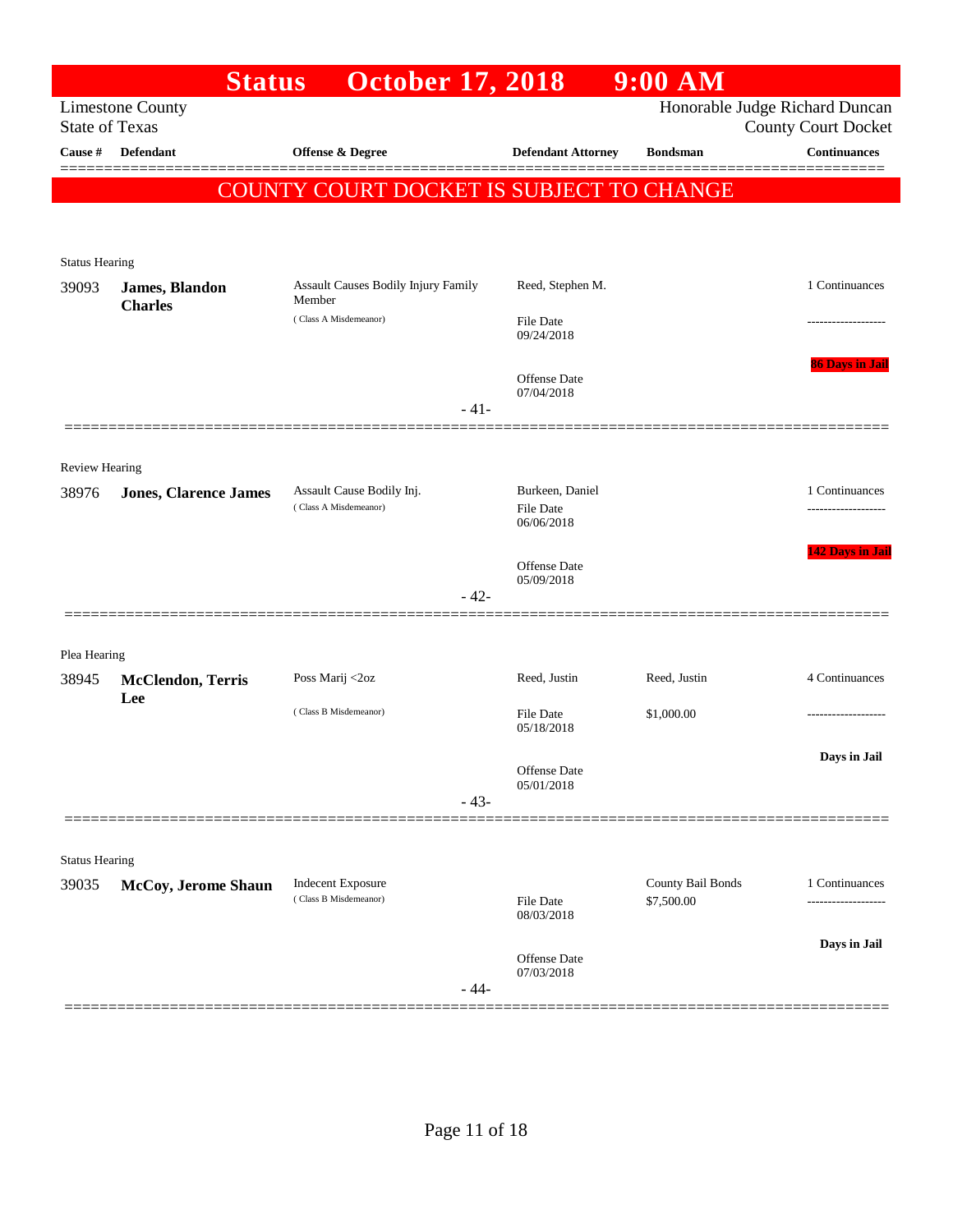|                       | <b>Status</b>                   | <b>October 17, 2018</b>                            |                                     | $9:00$ AM                       |                                                              |
|-----------------------|---------------------------------|----------------------------------------------------|-------------------------------------|---------------------------------|--------------------------------------------------------------|
| <b>State of Texas</b> | <b>Limestone County</b>         |                                                    |                                     |                                 | Honorable Judge Richard Duncan<br><b>County Court Docket</b> |
| Cause #               | <b>Defendant</b>                | <b>Offense &amp; Degree</b>                        | <b>Defendant Attorney</b>           | <b>Bondsman</b>                 | Continuances                                                 |
|                       |                                 | COUNTY COURT DOCKET IS SUBJECT TO CHANGE           |                                     |                                 |                                                              |
|                       |                                 |                                                    |                                     |                                 |                                                              |
| <b>Status Hearing</b> |                                 |                                                    |                                     |                                 |                                                              |
| 39093                 | James, Blandon                  | Assault Causes Bodily Injury Family                | Reed, Stephen M.                    |                                 | 1 Continuances                                               |
|                       | <b>Charles</b>                  | Member<br>(Class A Misdemeanor)                    | <b>File Date</b><br>09/24/2018      |                                 |                                                              |
|                       |                                 |                                                    |                                     |                                 | <b>86 Days in Jail</b>                                       |
|                       |                                 | $-41-$                                             | Offense Date<br>07/04/2018          |                                 |                                                              |
|                       |                                 |                                                    |                                     |                                 |                                                              |
| <b>Review Hearing</b> |                                 |                                                    |                                     |                                 |                                                              |
| 38976                 | <b>Jones, Clarence James</b>    | Assault Cause Bodily Inj.<br>(Class A Misdemeanor) | Burkeen, Daniel<br><b>File Date</b> |                                 | 1 Continuances                                               |
|                       |                                 |                                                    | 06/06/2018                          |                                 |                                                              |
|                       |                                 |                                                    | Offense Date                        |                                 | 142 Days in Jail                                             |
|                       |                                 | $-42-$                                             | 05/09/2018                          |                                 |                                                              |
|                       |                                 |                                                    |                                     |                                 |                                                              |
| Plea Hearing          |                                 |                                                    |                                     |                                 |                                                              |
| 38945                 | <b>McClendon, Terris</b><br>Lee | Poss Marij <2oz                                    | Reed, Justin                        | Reed, Justin                    | 4 Continuances                                               |
|                       |                                 | (Class B Misdemeanor)                              | <b>File Date</b><br>05/18/2018      | \$1,000.00                      |                                                              |
|                       |                                 |                                                    |                                     |                                 | Days in Jail                                                 |
|                       |                                 | $-43-$                                             | Offense Date<br>05/01/2018          |                                 |                                                              |
|                       |                                 |                                                    |                                     |                                 |                                                              |
| <b>Status Hearing</b> |                                 |                                                    |                                     |                                 |                                                              |
| 39035                 | McCoy, Jerome Shaun             | <b>Indecent Exposure</b><br>(Class B Misdemeanor)  | File Date                           | County Bail Bonds<br>\$7,500.00 | 1 Continuances                                               |
|                       |                                 |                                                    | 08/03/2018                          |                                 | -----------------                                            |
|                       |                                 |                                                    | Offense Date                        |                                 | Days in Jail                                                 |
|                       |                                 | $-44-$                                             | 07/03/2018                          |                                 |                                                              |
|                       |                                 |                                                    |                                     |                                 |                                                              |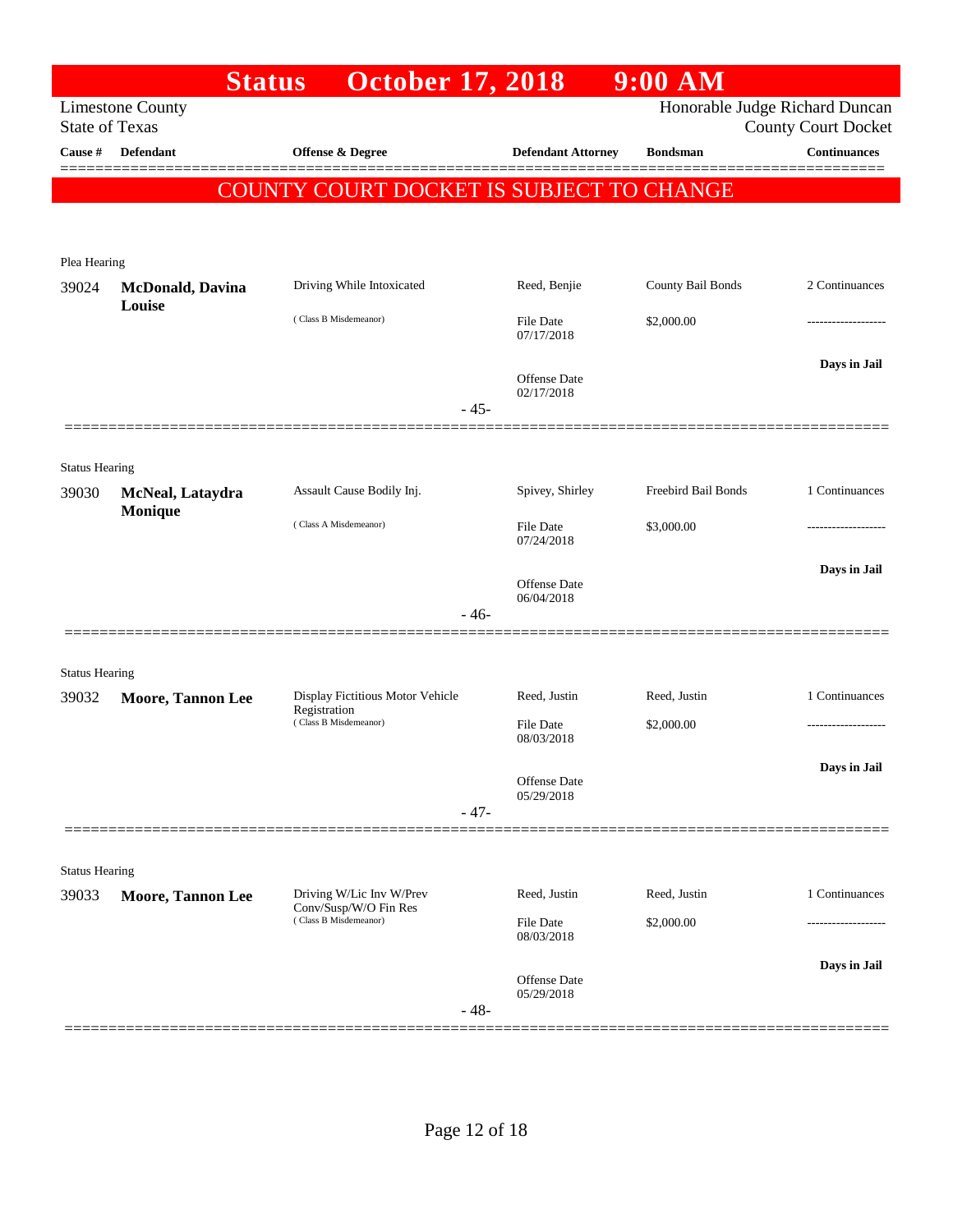|                                | <b>Status</b>                                    | <b>October 17, 2018</b>                                                    |                                | $9:00$ AM                      |                                                   |
|--------------------------------|--------------------------------------------------|----------------------------------------------------------------------------|--------------------------------|--------------------------------|---------------------------------------------------|
|                                | <b>Limestone County</b><br><b>State of Texas</b> |                                                                            |                                | Honorable Judge Richard Duncan |                                                   |
| Cause #                        | <b>Defendant</b>                                 | Offense & Degree                                                           | <b>Defendant Attorney</b>      | <b>Bondsman</b>                | <b>County Court Docket</b><br><b>Continuances</b> |
|                                |                                                  |                                                                            |                                |                                |                                                   |
|                                |                                                  | COUNTY COURT DOCKET IS SUBJECT TO CHANGE                                   |                                |                                |                                                   |
|                                |                                                  |                                                                            |                                |                                |                                                   |
| Plea Hearing                   |                                                  |                                                                            |                                |                                |                                                   |
| 39024                          | <b>McDonald</b> , Davina<br>Louise               | Driving While Intoxicated                                                  | Reed, Benjie                   | County Bail Bonds              | 2 Continuances                                    |
|                                |                                                  | (Class B Misdemeanor)                                                      | <b>File Date</b><br>07/17/2018 | \$2,000.00                     |                                                   |
|                                |                                                  |                                                                            |                                |                                | Days in Jail                                      |
|                                |                                                  |                                                                            | Offense Date<br>02/17/2018     |                                |                                                   |
|                                |                                                  | $-45-$                                                                     |                                |                                |                                                   |
|                                |                                                  |                                                                            |                                |                                |                                                   |
| <b>Status Hearing</b>          |                                                  |                                                                            |                                |                                |                                                   |
| 39030                          | McNeal, Lataydra<br>Monique                      | Assault Cause Bodily Inj.                                                  | Spivey, Shirley                | Freebird Bail Bonds            | 1 Continuances                                    |
|                                |                                                  | (Class A Misdemeanor)                                                      | <b>File Date</b><br>07/24/2018 | \$3,000.00                     |                                                   |
|                                |                                                  |                                                                            |                                |                                | Days in Jail                                      |
|                                |                                                  |                                                                            | Offense Date<br>06/04/2018     |                                |                                                   |
|                                |                                                  | $-46-$                                                                     |                                |                                |                                                   |
|                                | ================                                 |                                                                            |                                |                                |                                                   |
| <b>Status Hearing</b>          |                                                  |                                                                            |                                |                                |                                                   |
| 39032                          | <b>Moore, Tannon Lee</b>                         | Display Fictitious Motor Vehicle<br>Registration                           | Reed, Justin                   | Reed, Justin                   | 1 Continuances                                    |
|                                |                                                  | (Class B Misdemeanor)                                                      | File Date<br>08/03/2018        | \$2,000.00                     |                                                   |
|                                |                                                  |                                                                            |                                |                                | Days in Jail                                      |
|                                |                                                  |                                                                            | Offense Date<br>05/29/2018     |                                |                                                   |
|                                |                                                  | $-47-$                                                                     |                                |                                |                                                   |
|                                |                                                  |                                                                            |                                |                                |                                                   |
| <b>Status Hearing</b><br>39033 |                                                  |                                                                            | Reed, Justin                   | Reed, Justin                   | 1 Continuances                                    |
|                                | <b>Moore, Tannon Lee</b>                         | Driving W/Lic Inv W/Prev<br>Conv/Susp/W/O Fin Res<br>(Class B Misdemeanor) | File Date                      | \$2,000.00                     |                                                   |
|                                |                                                  |                                                                            | 08/03/2018                     |                                |                                                   |
|                                |                                                  |                                                                            | Offense Date                   |                                | Days in Jail                                      |
|                                |                                                  | $-48-$                                                                     | 05/29/2018                     |                                |                                                   |
|                                |                                                  |                                                                            |                                |                                |                                                   |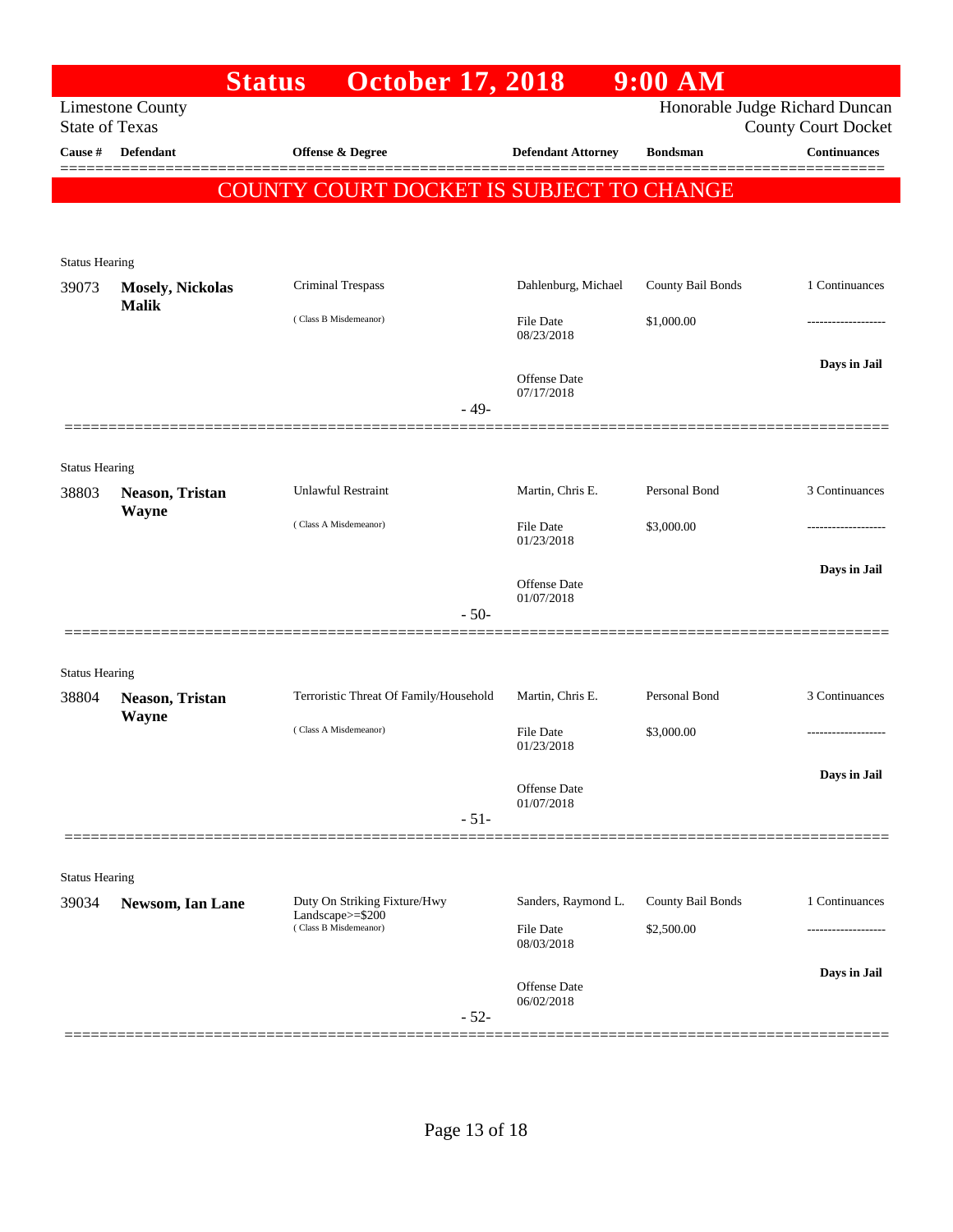|                       |                                         | <b>Status</b> | <b>October 17, 2018</b>                          |        |                                          | $9:00$ AM         |                                                              |
|-----------------------|-----------------------------------------|---------------|--------------------------------------------------|--------|------------------------------------------|-------------------|--------------------------------------------------------------|
| <b>State of Texas</b> | <b>Limestone County</b>                 |               |                                                  |        |                                          |                   | Honorable Judge Richard Duncan<br><b>County Court Docket</b> |
| <b>Cause</b> #        | Defendant                               |               | Offense & Degree                                 |        | <b>Defendant Attorney</b>                | <b>Bondsman</b>   | <b>Continuances</b>                                          |
|                       |                                         |               |                                                  |        | COUNTY COURT DOCKET IS SUBJECT TO CHANGE |                   |                                                              |
|                       |                                         |               |                                                  |        |                                          |                   |                                                              |
|                       |                                         |               |                                                  |        |                                          |                   |                                                              |
| <b>Status Hearing</b> |                                         |               |                                                  |        |                                          |                   |                                                              |
| 39073                 | <b>Mosely, Nickolas</b><br><b>Malik</b> |               | Criminal Trespass                                |        | Dahlenburg, Michael                      | County Bail Bonds | 1 Continuances                                               |
|                       |                                         |               | (Class B Misdemeanor)                            |        | <b>File Date</b>                         | \$1,000.00        |                                                              |
|                       |                                         |               |                                                  |        | 08/23/2018                               |                   |                                                              |
|                       |                                         |               |                                                  |        | Offense Date                             |                   | Days in Jail                                                 |
|                       |                                         |               |                                                  | - 49-  | 07/17/2018                               |                   |                                                              |
|                       |                                         |               |                                                  |        |                                          |                   |                                                              |
| <b>Status Hearing</b> |                                         |               |                                                  |        |                                          |                   |                                                              |
| 38803                 | Neason, Tristan                         |               | <b>Unlawful Restraint</b>                        |        | Martin, Chris E.                         | Personal Bond     | 3 Continuances                                               |
|                       | <b>Wayne</b>                            |               |                                                  |        |                                          |                   |                                                              |
|                       |                                         |               | (Class A Misdemeanor)                            |        | File Date<br>01/23/2018                  | \$3,000.00        |                                                              |
|                       |                                         |               |                                                  |        |                                          |                   | Days in Jail                                                 |
|                       |                                         |               |                                                  |        | Offense Date<br>01/07/2018               |                   |                                                              |
|                       |                                         |               |                                                  | $-50-$ |                                          |                   |                                                              |
|                       |                                         |               |                                                  |        |                                          |                   |                                                              |
| <b>Status Hearing</b> |                                         |               |                                                  |        |                                          |                   |                                                              |
| 38804                 | Neason, Tristan                         |               | Terroristic Threat Of Family/Household           |        | Martin, Chris E.                         | Personal Bond     | 3 Continuances                                               |
|                       | Wayne                                   |               | (Class A Misdemeanor)                            |        | <b>File Date</b>                         | \$3,000.00        |                                                              |
|                       |                                         |               |                                                  |        | 01/23/2018                               |                   |                                                              |
|                       |                                         |               |                                                  |        | Offense Date                             |                   | Days in Jail                                                 |
|                       |                                         |               |                                                  |        | 01/07/2018                               |                   |                                                              |
|                       |                                         |               |                                                  | $-51-$ |                                          |                   |                                                              |
|                       |                                         |               |                                                  |        |                                          |                   |                                                              |
| <b>Status Hearing</b> |                                         |               |                                                  |        |                                          |                   |                                                              |
| 39034                 | Newsom, Ian Lane                        |               | Duty On Striking Fixture/Hwy<br>Landscape>=\$200 |        | Sanders, Raymond L.                      | County Bail Bonds | 1 Continuances                                               |
|                       |                                         |               | (Class B Misdemeanor)                            |        | File Date<br>08/03/2018                  | \$2,500.00        |                                                              |
|                       |                                         |               |                                                  |        |                                          |                   | Days in Jail                                                 |
|                       |                                         |               |                                                  |        | Offense Date<br>06/02/2018               |                   |                                                              |
|                       |                                         |               |                                                  | $-52-$ |                                          |                   |                                                              |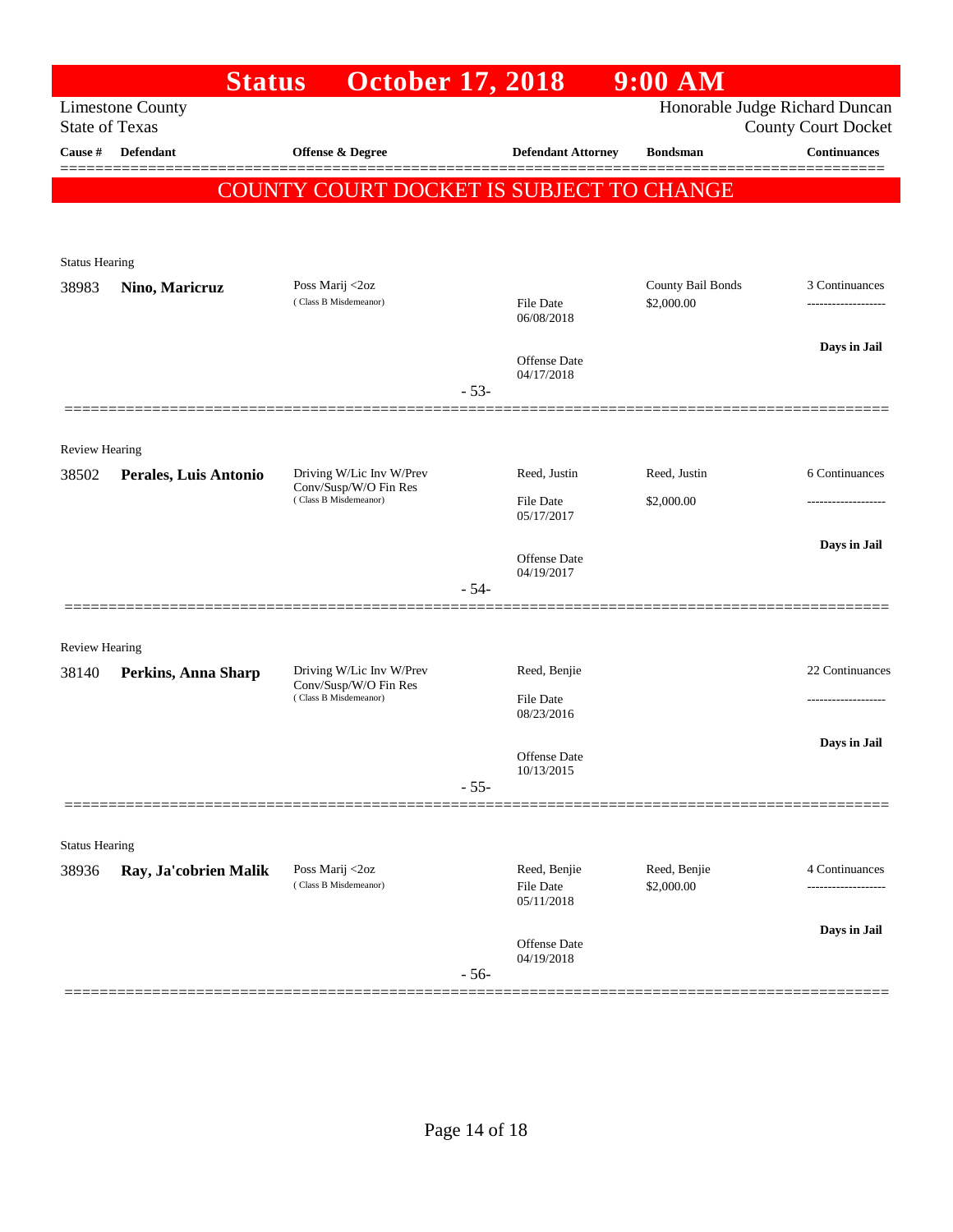|                       | <b>Status</b>           | <b>October 17, 2018</b>                           |        |                                   | $9:00$ AM                       |                                                              |
|-----------------------|-------------------------|---------------------------------------------------|--------|-----------------------------------|---------------------------------|--------------------------------------------------------------|
| <b>State of Texas</b> | <b>Limestone County</b> |                                                   |        |                                   |                                 | Honorable Judge Richard Duncan<br><b>County Court Docket</b> |
| Cause #               | <b>Defendant</b>        | <b>Offense &amp; Degree</b>                       |        | <b>Defendant Attorney</b>         | <b>Bondsman</b>                 | <b>Continuances</b>                                          |
|                       |                         |                                                   |        |                                   |                                 |                                                              |
|                       |                         | COUNTY COURT DOCKET IS SUBJECT TO CHANGE          |        |                                   |                                 |                                                              |
|                       |                         |                                                   |        |                                   |                                 |                                                              |
| <b>Status Hearing</b> |                         |                                                   |        |                                   |                                 |                                                              |
| 38983                 | Nino, Maricruz          | Poss Marij <2oz<br>(Class B Misdemeanor)          |        | <b>File Date</b>                  | County Bail Bonds<br>\$2,000.00 | 3 Continuances                                               |
|                       |                         |                                                   |        | 06/08/2018                        |                                 |                                                              |
|                       |                         |                                                   |        | <b>Offense Date</b>               |                                 | Days in Jail                                                 |
|                       |                         |                                                   | $-53-$ | 04/17/2018                        |                                 |                                                              |
|                       |                         |                                                   |        |                                   |                                 |                                                              |
| <b>Review Hearing</b> |                         |                                                   |        |                                   |                                 |                                                              |
| 38502                 | Perales, Luis Antonio   | Driving W/Lic Inv W/Prev                          |        | Reed, Justin                      | Reed, Justin                    | 6 Continuances                                               |
|                       |                         | Conv/Susp/W/O Fin Res<br>(Class B Misdemeanor)    |        | <b>File Date</b>                  | \$2,000.00                      |                                                              |
|                       |                         |                                                   |        | 05/17/2017                        |                                 |                                                              |
|                       |                         |                                                   |        | Offense Date                      |                                 | Days in Jail                                                 |
|                       |                         |                                                   | $-54-$ | 04/19/2017                        |                                 |                                                              |
|                       |                         |                                                   |        |                                   |                                 |                                                              |
| <b>Review Hearing</b> |                         |                                                   |        |                                   |                                 |                                                              |
| 38140                 | Perkins, Anna Sharp     | Driving W/Lic Inv W/Prev<br>Conv/Susp/W/O Fin Res |        | Reed, Benjie                      |                                 | 22 Continuances                                              |
|                       |                         | (Class B Misdemeanor)                             |        | <b>File Date</b><br>08/23/2016    |                                 | -------------------                                          |
|                       |                         |                                                   |        |                                   |                                 | Days in Jail                                                 |
|                       |                         |                                                   |        | <b>Offense Date</b><br>10/13/2015 |                                 |                                                              |
|                       |                         |                                                   | $-55-$ |                                   |                                 |                                                              |
|                       |                         |                                                   |        |                                   |                                 |                                                              |
| <b>Status Hearing</b> |                         |                                                   |        |                                   |                                 |                                                              |
| 38936                 | Ray, Ja'cobrien Malik   | Poss Marij <2oz<br>(Class B Misdemeanor)          |        | Reed, Benjie<br>File Date         | Reed, Benjie<br>\$2,000.00      | 4 Continuances                                               |
|                       |                         |                                                   |        | 05/11/2018                        |                                 |                                                              |
|                       |                         |                                                   |        | Offense Date                      |                                 | Days in Jail                                                 |
|                       |                         |                                                   | $-56-$ | 04/19/2018                        |                                 |                                                              |
|                       |                         |                                                   |        |                                   |                                 |                                                              |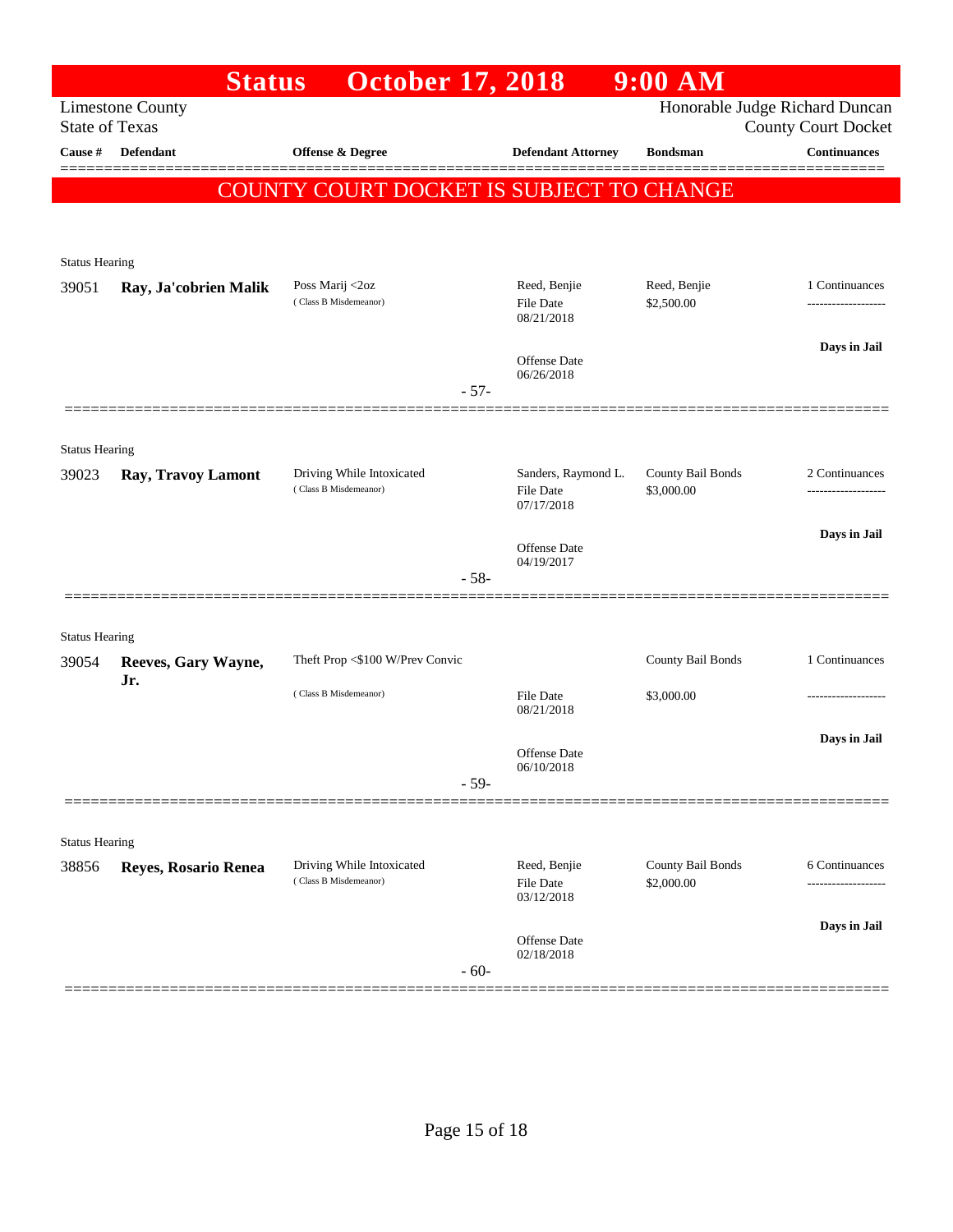|                                         | <b>Status</b>           | <b>October 17, 2018</b>                            |                                   | $9:00$ AM                       |                                            |
|-----------------------------------------|-------------------------|----------------------------------------------------|-----------------------------------|---------------------------------|--------------------------------------------|
|                                         | <b>Limestone County</b> |                                                    |                                   |                                 | Honorable Judge Richard Duncan             |
| <b>State of Texas</b><br><b>Cause</b> # | <b>Defendant</b>        | Offense & Degree                                   | <b>Defendant Attorney</b>         | <b>Bondsman</b>                 | <b>County Court Docket</b><br>Continuances |
|                                         |                         |                                                    |                                   |                                 |                                            |
|                                         |                         | <b>COUNTY COURT DOCKET IS SUBJECT TO CHANGE</b>    |                                   |                                 |                                            |
|                                         |                         |                                                    |                                   |                                 |                                            |
| <b>Status Hearing</b>                   |                         |                                                    |                                   |                                 |                                            |
| 39051                                   | Ray, Ja'cobrien Malik   | Poss Marij <2oz                                    | Reed, Benjie                      | Reed, Benjie                    | 1 Continuances                             |
|                                         |                         | (Class B Misdemeanor)                              | File Date<br>08/21/2018           | \$2,500.00                      |                                            |
|                                         |                         |                                                    |                                   |                                 | Days in Jail                               |
|                                         |                         |                                                    | <b>Offense Date</b><br>06/26/2018 |                                 |                                            |
|                                         |                         |                                                    | $-57-$                            |                                 |                                            |
|                                         |                         |                                                    |                                   |                                 |                                            |
| <b>Status Hearing</b>                   |                         |                                                    |                                   |                                 |                                            |
| 39023                                   | Ray, Travoy Lamont      | Driving While Intoxicated<br>(Class B Misdemeanor) | Sanders, Raymond L.<br>File Date  | County Bail Bonds<br>\$3,000.00 | 2 Continuances                             |
|                                         |                         |                                                    | 07/17/2018                        |                                 |                                            |
|                                         |                         |                                                    | <b>Offense Date</b>               |                                 | Days in Jail                               |
|                                         |                         |                                                    | 04/19/2017<br>$-58-$              |                                 |                                            |
|                                         |                         |                                                    |                                   |                                 |                                            |
| <b>Status Hearing</b>                   |                         |                                                    |                                   |                                 |                                            |
| 39054                                   | Reeves, Gary Wayne,     | Theft Prop <\$100 W/Prev Convic                    |                                   | County Bail Bonds               | 1 Continuances                             |
|                                         | Jr.                     | (Class B Misdemeanor)                              | <b>File Date</b>                  | \$3,000.00                      |                                            |
|                                         |                         |                                                    | 08/21/2018                        |                                 |                                            |
|                                         |                         |                                                    | <b>Offense Date</b>               |                                 | Days in Jail                               |
|                                         |                         |                                                    | 06/10/2018<br>$-59-$              |                                 |                                            |
|                                         |                         |                                                    |                                   |                                 |                                            |
|                                         |                         |                                                    |                                   |                                 |                                            |
| <b>Status Hearing</b><br>38856          | Reyes, Rosario Renea    | Driving While Intoxicated                          | Reed, Benjie                      | County Bail Bonds               | 6 Continuances                             |
|                                         |                         | (Class B Misdemeanor)                              | File Date                         | \$2,000.00                      | .                                          |
|                                         |                         |                                                    | 03/12/2018                        |                                 |                                            |
|                                         |                         |                                                    | Offense Date                      |                                 | Days in Jail                               |
|                                         |                         |                                                    | 02/18/2018<br>$-60-$              |                                 |                                            |
|                                         |                         |                                                    |                                   |                                 |                                            |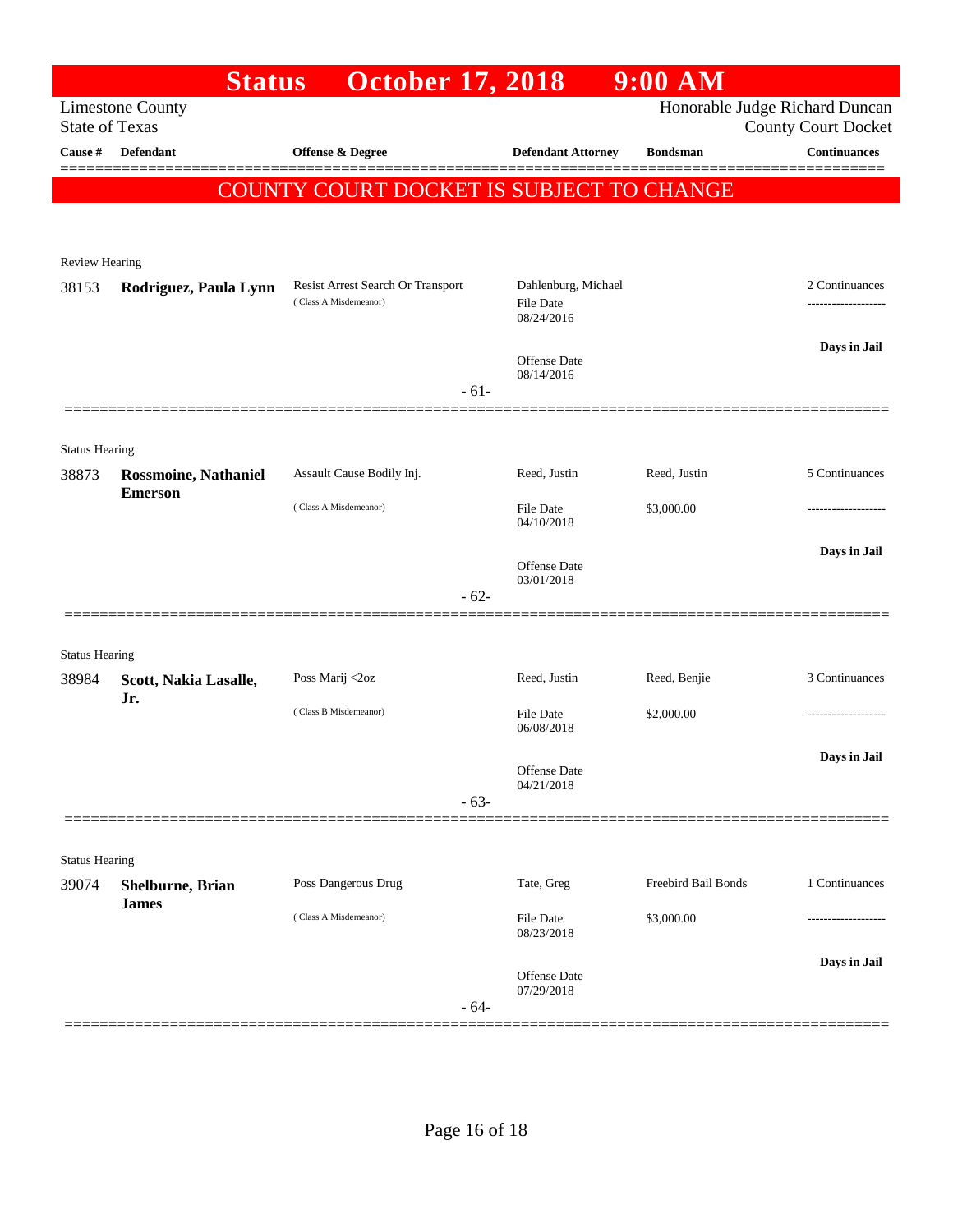|                                  | <b>Status</b>                                 | <b>October 17, 2018</b>                         |                                   | $9:00$ AM           |                                                   |
|----------------------------------|-----------------------------------------------|-------------------------------------------------|-----------------------------------|---------------------|---------------------------------------------------|
|                                  | <b>Limestone County</b>                       |                                                 |                                   |                     | Honorable Judge Richard Duncan                    |
| <b>State of Texas</b><br>Cause # | <b>Defendant</b>                              | Offense & Degree                                | <b>Defendant Attorney</b>         | <b>Bondsman</b>     | <b>County Court Docket</b><br><b>Continuances</b> |
|                                  |                                               |                                                 |                                   |                     |                                                   |
|                                  |                                               | <b>COUNTY COURT DOCKET IS SUBJECT TO CHANGE</b> |                                   |                     |                                                   |
|                                  |                                               |                                                 |                                   |                     |                                                   |
| <b>Review Hearing</b>            |                                               |                                                 |                                   |                     |                                                   |
| 38153                            | Rodriguez, Paula Lynn                         | Resist Arrest Search Or Transport               | Dahlenburg, Michael               |                     | 2 Continuances                                    |
|                                  |                                               | (Class A Misdemeanor)                           | File Date<br>08/24/2016           |                     |                                                   |
|                                  |                                               |                                                 |                                   |                     | Days in Jail                                      |
|                                  |                                               |                                                 | Offense Date<br>08/14/2016        |                     |                                                   |
|                                  |                                               | $-61-$                                          |                                   |                     |                                                   |
|                                  |                                               |                                                 |                                   |                     |                                                   |
| <b>Status Hearing</b><br>38873   |                                               | Assault Cause Bodily Inj.                       | Reed, Justin                      | Reed, Justin        | 5 Continuances                                    |
|                                  | <b>Rossmoine, Nathaniel</b><br><b>Emerson</b> |                                                 |                                   |                     |                                                   |
|                                  |                                               | (Class A Misdemeanor)                           | <b>File Date</b><br>04/10/2018    | \$3,000.00          |                                                   |
|                                  |                                               |                                                 |                                   |                     | Days in Jail                                      |
|                                  |                                               |                                                 | <b>Offense Date</b><br>03/01/2018 |                     |                                                   |
|                                  |                                               | $-62-$                                          |                                   |                     |                                                   |
|                                  |                                               |                                                 |                                   |                     |                                                   |
| <b>Status Hearing</b><br>38984   | Scott, Nakia Lasalle,                         | Poss Marij <2oz                                 | Reed, Justin                      | Reed, Benjie        | 3 Continuances                                    |
|                                  | Jr.                                           | (Class B Misdemeanor)                           | File Date                         | \$2,000.00          | ----------------                                  |
|                                  |                                               |                                                 | 06/08/2018                        |                     |                                                   |
|                                  |                                               |                                                 | Offense Date                      |                     | Days in Jail                                      |
|                                  |                                               | $-63-$                                          | 04/21/2018                        |                     |                                                   |
|                                  |                                               |                                                 |                                   |                     |                                                   |
| <b>Status Hearing</b>            |                                               |                                                 |                                   |                     |                                                   |
| 39074                            | Shelburne, Brian                              | Poss Dangerous Drug                             | Tate, Greg                        | Freebird Bail Bonds | 1 Continuances                                    |
|                                  | <b>James</b>                                  | (Class A Misdemeanor)                           | File Date                         | \$3,000.00          |                                                   |
|                                  |                                               |                                                 | 08/23/2018                        |                     |                                                   |
|                                  |                                               |                                                 | <b>Offense Date</b>               |                     | Days in Jail                                      |
|                                  |                                               | $-64-$                                          | 07/29/2018                        |                     |                                                   |
|                                  |                                               |                                                 |                                   |                     |                                                   |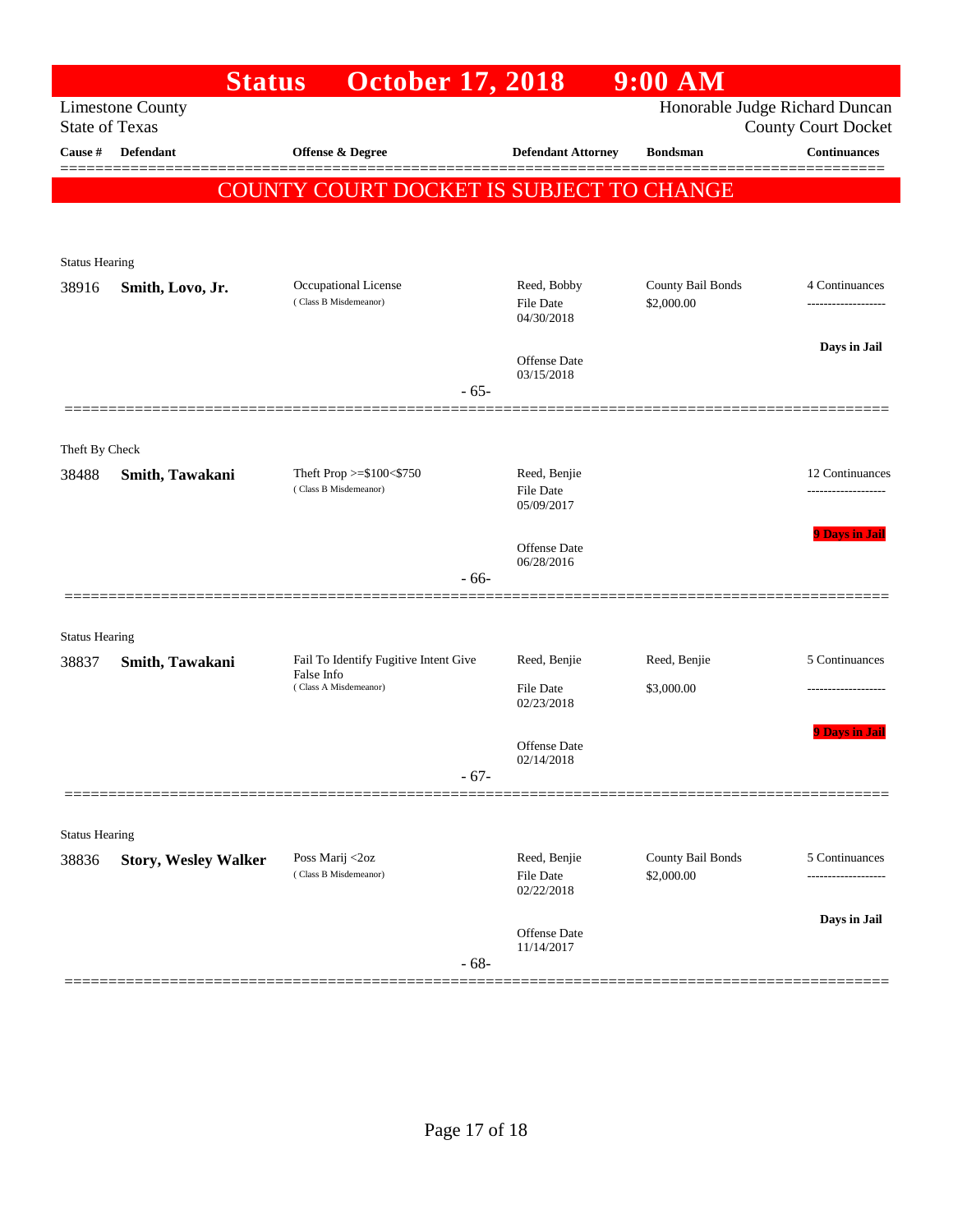| Honorable Judge Richard Duncan<br><b>Limestone County</b><br><b>State of Texas</b><br><b>County Court Docket</b><br><b>Continuances</b><br><b>Defendant</b><br><b>Offense &amp; Degree</b><br><b>Defendant Attorney</b><br><b>Bondsman</b><br>COUNTY COURT DOCKET IS SUBJECT TO CHANGE<br><b>Status Hearing</b><br>Occupational License<br>Reed, Bobby<br>County Bail Bonds<br>4 Continuances<br>38916<br>Smith, Lovo, Jr.<br>(Class B Misdemeanor)<br>\$2,000.00<br><b>File Date</b><br>------------------<br>04/30/2018<br>Days in Jail<br><b>Offense Date</b><br>03/15/2018<br>$-65-$<br>Theft By Check<br>Theft Prop >=\$100<\$750<br>Reed, Benjie<br>12 Continuances<br>38488<br>Smith, Tawakani<br>(Class B Misdemeanor)<br><b>File Date</b><br>05/09/2017<br><b>9 Days in Jail</b><br>Offense Date<br>06/28/2016<br>$-66-$<br><b>Status Hearing</b><br>Fail To Identify Fugitive Intent Give<br>5 Continuances<br>Reed, Benjie<br>Reed, Benjie<br>38837<br>Smith, Tawakani<br>False Info<br>(Class A Misdemeanor)<br><b>File Date</b><br>\$3,000.00<br>.<br>02/23/2018<br><b>9 Days in Jail</b><br>Offense Date<br>02/14/2018<br>$-67-$<br><b>Status Hearing</b><br>Reed, Benjie<br>County Bail Bonds<br>Poss Marij <2oz<br>5 Continuances<br>38836<br><b>Story, Wesley Walker</b><br>(Class B Misdemeanor)<br>File Date<br>\$2,000.00<br>02/22/2018<br>Days in Jail<br>Offense Date<br>11/14/2017<br>$-68-$ |         | <b>Status</b> | <b>October 17, 2018</b> |  | $9:00$ AM |  |
|---------------------------------------------------------------------------------------------------------------------------------------------------------------------------------------------------------------------------------------------------------------------------------------------------------------------------------------------------------------------------------------------------------------------------------------------------------------------------------------------------------------------------------------------------------------------------------------------------------------------------------------------------------------------------------------------------------------------------------------------------------------------------------------------------------------------------------------------------------------------------------------------------------------------------------------------------------------------------------------------------------------------------------------------------------------------------------------------------------------------------------------------------------------------------------------------------------------------------------------------------------------------------------------------------------------------------------------------------------------------------------------------------------------------|---------|---------------|-------------------------|--|-----------|--|
|                                                                                                                                                                                                                                                                                                                                                                                                                                                                                                                                                                                                                                                                                                                                                                                                                                                                                                                                                                                                                                                                                                                                                                                                                                                                                                                                                                                                                     |         |               |                         |  |           |  |
|                                                                                                                                                                                                                                                                                                                                                                                                                                                                                                                                                                                                                                                                                                                                                                                                                                                                                                                                                                                                                                                                                                                                                                                                                                                                                                                                                                                                                     | Cause # |               |                         |  |           |  |
|                                                                                                                                                                                                                                                                                                                                                                                                                                                                                                                                                                                                                                                                                                                                                                                                                                                                                                                                                                                                                                                                                                                                                                                                                                                                                                                                                                                                                     |         |               |                         |  |           |  |
|                                                                                                                                                                                                                                                                                                                                                                                                                                                                                                                                                                                                                                                                                                                                                                                                                                                                                                                                                                                                                                                                                                                                                                                                                                                                                                                                                                                                                     |         |               |                         |  |           |  |
|                                                                                                                                                                                                                                                                                                                                                                                                                                                                                                                                                                                                                                                                                                                                                                                                                                                                                                                                                                                                                                                                                                                                                                                                                                                                                                                                                                                                                     |         |               |                         |  |           |  |
|                                                                                                                                                                                                                                                                                                                                                                                                                                                                                                                                                                                                                                                                                                                                                                                                                                                                                                                                                                                                                                                                                                                                                                                                                                                                                                                                                                                                                     |         |               |                         |  |           |  |
|                                                                                                                                                                                                                                                                                                                                                                                                                                                                                                                                                                                                                                                                                                                                                                                                                                                                                                                                                                                                                                                                                                                                                                                                                                                                                                                                                                                                                     |         |               |                         |  |           |  |
|                                                                                                                                                                                                                                                                                                                                                                                                                                                                                                                                                                                                                                                                                                                                                                                                                                                                                                                                                                                                                                                                                                                                                                                                                                                                                                                                                                                                                     |         |               |                         |  |           |  |
|                                                                                                                                                                                                                                                                                                                                                                                                                                                                                                                                                                                                                                                                                                                                                                                                                                                                                                                                                                                                                                                                                                                                                                                                                                                                                                                                                                                                                     |         |               |                         |  |           |  |
|                                                                                                                                                                                                                                                                                                                                                                                                                                                                                                                                                                                                                                                                                                                                                                                                                                                                                                                                                                                                                                                                                                                                                                                                                                                                                                                                                                                                                     |         |               |                         |  |           |  |
|                                                                                                                                                                                                                                                                                                                                                                                                                                                                                                                                                                                                                                                                                                                                                                                                                                                                                                                                                                                                                                                                                                                                                                                                                                                                                                                                                                                                                     |         |               |                         |  |           |  |
|                                                                                                                                                                                                                                                                                                                                                                                                                                                                                                                                                                                                                                                                                                                                                                                                                                                                                                                                                                                                                                                                                                                                                                                                                                                                                                                                                                                                                     |         |               |                         |  |           |  |
|                                                                                                                                                                                                                                                                                                                                                                                                                                                                                                                                                                                                                                                                                                                                                                                                                                                                                                                                                                                                                                                                                                                                                                                                                                                                                                                                                                                                                     |         |               |                         |  |           |  |
|                                                                                                                                                                                                                                                                                                                                                                                                                                                                                                                                                                                                                                                                                                                                                                                                                                                                                                                                                                                                                                                                                                                                                                                                                                                                                                                                                                                                                     |         |               |                         |  |           |  |
|                                                                                                                                                                                                                                                                                                                                                                                                                                                                                                                                                                                                                                                                                                                                                                                                                                                                                                                                                                                                                                                                                                                                                                                                                                                                                                                                                                                                                     |         |               |                         |  |           |  |
|                                                                                                                                                                                                                                                                                                                                                                                                                                                                                                                                                                                                                                                                                                                                                                                                                                                                                                                                                                                                                                                                                                                                                                                                                                                                                                                                                                                                                     |         |               |                         |  |           |  |
|                                                                                                                                                                                                                                                                                                                                                                                                                                                                                                                                                                                                                                                                                                                                                                                                                                                                                                                                                                                                                                                                                                                                                                                                                                                                                                                                                                                                                     |         |               |                         |  |           |  |
|                                                                                                                                                                                                                                                                                                                                                                                                                                                                                                                                                                                                                                                                                                                                                                                                                                                                                                                                                                                                                                                                                                                                                                                                                                                                                                                                                                                                                     |         |               |                         |  |           |  |
|                                                                                                                                                                                                                                                                                                                                                                                                                                                                                                                                                                                                                                                                                                                                                                                                                                                                                                                                                                                                                                                                                                                                                                                                                                                                                                                                                                                                                     |         |               |                         |  |           |  |
|                                                                                                                                                                                                                                                                                                                                                                                                                                                                                                                                                                                                                                                                                                                                                                                                                                                                                                                                                                                                                                                                                                                                                                                                                                                                                                                                                                                                                     |         |               |                         |  |           |  |
|                                                                                                                                                                                                                                                                                                                                                                                                                                                                                                                                                                                                                                                                                                                                                                                                                                                                                                                                                                                                                                                                                                                                                                                                                                                                                                                                                                                                                     |         |               |                         |  |           |  |
|                                                                                                                                                                                                                                                                                                                                                                                                                                                                                                                                                                                                                                                                                                                                                                                                                                                                                                                                                                                                                                                                                                                                                                                                                                                                                                                                                                                                                     |         |               |                         |  |           |  |
|                                                                                                                                                                                                                                                                                                                                                                                                                                                                                                                                                                                                                                                                                                                                                                                                                                                                                                                                                                                                                                                                                                                                                                                                                                                                                                                                                                                                                     |         |               |                         |  |           |  |
|                                                                                                                                                                                                                                                                                                                                                                                                                                                                                                                                                                                                                                                                                                                                                                                                                                                                                                                                                                                                                                                                                                                                                                                                                                                                                                                                                                                                                     |         |               |                         |  |           |  |
|                                                                                                                                                                                                                                                                                                                                                                                                                                                                                                                                                                                                                                                                                                                                                                                                                                                                                                                                                                                                                                                                                                                                                                                                                                                                                                                                                                                                                     |         |               |                         |  |           |  |
|                                                                                                                                                                                                                                                                                                                                                                                                                                                                                                                                                                                                                                                                                                                                                                                                                                                                                                                                                                                                                                                                                                                                                                                                                                                                                                                                                                                                                     |         |               |                         |  |           |  |
|                                                                                                                                                                                                                                                                                                                                                                                                                                                                                                                                                                                                                                                                                                                                                                                                                                                                                                                                                                                                                                                                                                                                                                                                                                                                                                                                                                                                                     |         |               |                         |  |           |  |